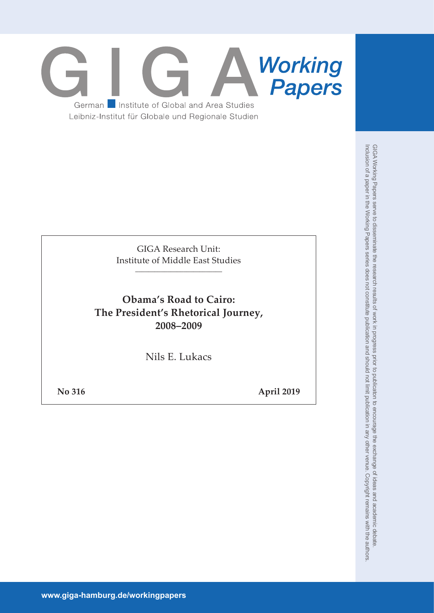

GIGA Research Unit: Institute of Middle East Studies \_\_\_\_\_\_\_\_\_\_\_\_\_\_\_\_\_\_\_\_\_\_\_\_\_\_\_

**Obama's Road to Cairo: The President's Rhetorical Journey, 2008–2009**

Nils E. Lukacs

**No 316 April 2019**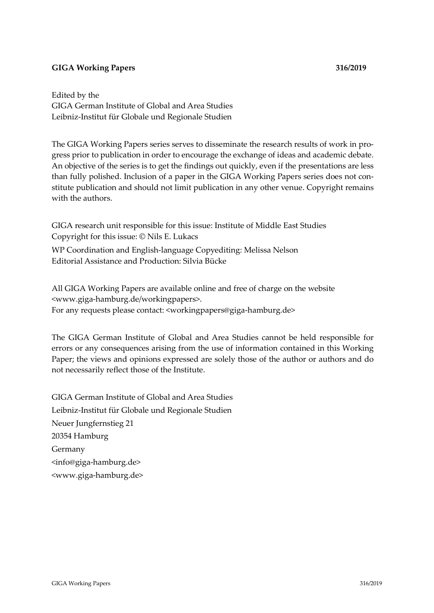## **GIGA Working Papers 316/2019**

Edited by the GIGA German Institute of Global and Area Studies Leibniz-Institut für Globale und Regionale Studien

The GIGA Working Papers series serves to disseminate the research results of work in progress prior to publication in order to encourage the exchange of ideas and academic debate. An objective of the series is to get the findings out quickly, even if the presentations are less than fully polished. Inclusion of a paper in the GIGA Working Papers series does not constitute publication and should not limit publication in any other venue. Copyright remains with the authors.

GIGA research unit responsible for this issue: Institute of Middle East Studies Copyright for this issue: © Nils E. Lukacs

WP Coordination and English-language Copyediting: Melissa Nelson Editorial Assistance and Production: Silvia Bücke

All GIGA Working Papers are available online and free of charge on the website <www.giga-hamburg.de/workingpapers>. For any requests please contact: <workingpapers@giga-hamburg.de>

The GIGA German Institute of Global and Area Studies cannot be held responsible for errors or any consequences arising from the use of information contained in this Working Paper; the views and opinions expressed are solely those of the author or authors and do not necessarily reflect those of the Institute.

GIGA German Institute of Global and Area Studies Leibniz-Institut für Globale und Regionale Studien Neuer Jungfernstieg 21 20354 Hamburg Germany <info@giga-hamburg.de> <www.giga-hamburg.de>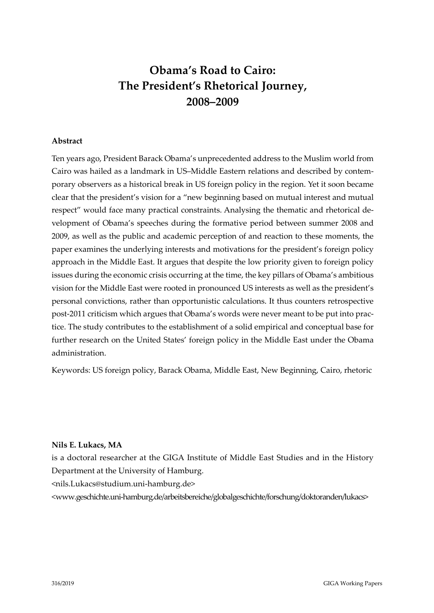# **Obama's Road to Cairo: The President's Rhetorical Journey, 2008–2009**

### **Abstract**

Ten years ago, President Barack Obama's unprecedented address to the Muslim world from Cairo was hailed as a landmark in US–Middle Eastern relations and described by contemporary observers as a historical break in US foreign policy in the region. Yet it soon became clear that the president's vision for a "new beginning based on mutual interest and mutual respect" would face many practical constraints. Analysing the thematic and rhetorical development of Obama's speeches during the formative period between summer 2008 and 2009, as well as the public and academic perception of and reaction to these moments, the paper examines the underlying interests and motivations for the president's foreign policy approach in the Middle East. It argues that despite the low priority given to foreign policy issues during the economic crisis occurring at the time, the key pillars of Obama's ambitious vision for the Middle East were rooted in pronounced US interests as well as the president's personal convictions, rather than opportunistic calculations. It thus counters retrospective post-2011 criticism which argues that Obama's words were never meant to be put into practice. The study contributes to the establishment of a solid empirical and conceptual base for further research on the United States' foreign policy in the Middle East under the Obama administration.

Keywords: US foreign policy, Barack Obama, Middle East, New Beginning, Cairo, rhetoric

#### **Nils E. Lukacs, MA**

is a doctoral researcher at the GIGA Institute of Middle East Studies and in the History Department at the University of Hamburg.

[<nils.Lukacs@studium.uni-hamburg.de>](mailto:nils.Lukacs@studium.uni-hamburg.de)

<www.geschichte.uni-hamburg.de/arbeitsbereiche/globalgeschichte/forschung/doktoranden/lukacs>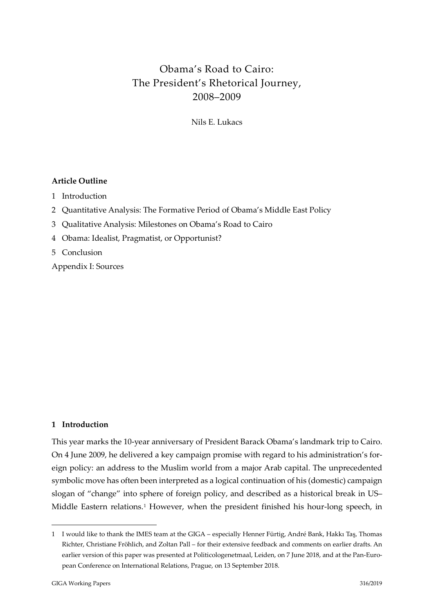## Obama's Road to Cairo: The President's Rhetorical Journey, 2008–2009

Nils E. Lukacs

## **Article Outline**

- 1 [Introduction](#page-3-0)
- 2 [Quantitative Analysis: The Formative Period of Obama's Middle East Policy](#page-7-0)
- 3 [Qualitative Analysis: Milestones on Obama's Road to Cairo](#page-9-0)
- 4 [Obama: Idealist, Pragmatist, or Opportunist?](#page-24-0)
- 5 [Conclusion](#page-29-0)
- [Appendix I: Sources](#page-31-0)

## <span id="page-3-0"></span>**1 Introduction**

This year marks the 10-year anniversary of President Barack Obama's landmark trip to Cairo. On 4 June 2009, he delivered a key campaign promise with regard to his administration's foreign policy: an address to the Muslim world from a major Arab capital. The unprecedented symbolic move has often been interpreted as a logical continuation of his (domestic) campaign slogan of "change" into sphere of foreign policy, and described as a historical break in US– Middle Eastern relations.<sup>[1](#page-3-1)</sup> However, when the president finished his hour-long speech, in

<span id="page-3-1"></span><sup>1</sup> I would like to thank the IMES team at the GIGA – especially Henner Fürtig, André Bank, Hakkı Taş, Thomas Richter, Christiane Fröhlich, and Zoltan Pall – for their extensive feedback and comments on earlier drafts. An earlier version of this paper was presented at Politicologenetmaal, Leiden, on 7 June 2018, and at the Pan-European Conference on International Relations, Prague, on 13 September 2018.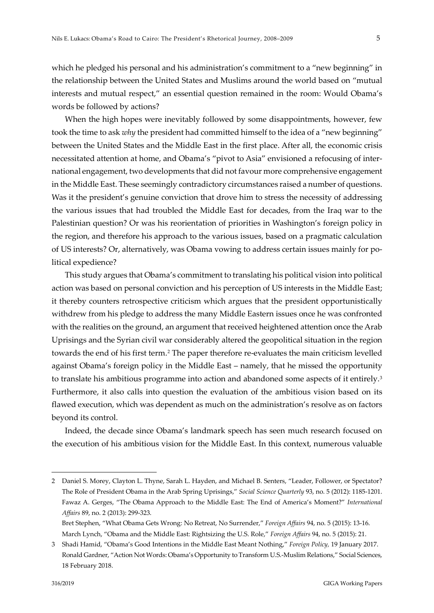which he pledged his personal and his administration's commitment to a "new beginning" in the relationship between the United States and Muslims around the world based on "mutual interests and mutual respect," an essential question remained in the room: Would Obama's words be followed by actions?

When the high hopes were inevitably followed by some disappointments, however, few took the time to ask *why* the president had committed himself to the idea of a "new beginning" between the United States and the Middle East in the first place. After all, the economic crisis necessitated attention at home, and Obama's "pivot to Asia" envisioned a refocusing of international engagement, two developments that did not favour more comprehensive engagement in the Middle East. These seemingly contradictory circumstances raised a number of questions. Was it the president's genuine conviction that drove him to stress the necessity of addressing the various issues that had troubled the Middle East for decades, from the Iraq war to the Palestinian question? Or was his reorientation of priorities in Washington's foreign policy in the region, and therefore his approach to the various issues, based on a pragmatic calculation of US interests? Or, alternatively, was Obama vowing to address certain issues mainly for political expedience?

This study argues that Obama's commitment to translating his political vision into political action was based on personal conviction and his perception of US interests in the Middle East; it thereby counters retrospective criticism which argues that the president opportunistically withdrew from his pledge to address the many Middle Eastern issues once he was confronted with the realities on the ground, an argument that received heightened attention once the Arab Uprisings and the Syrian civil war considerably altered the geopolitical situation in the region towards the end of his first term.[2](#page-4-0) The paper therefore re-evaluates the main criticism levelled against Obama's foreign policy in the Middle East – namely, that he missed the opportunity to translate his ambitious programme into action and abandoned some aspects of it entirely.<sup>[3](#page-4-1)</sup> Furthermore, it also calls into question the evaluation of the ambitious vision based on its flawed execution, which was dependent as much on the administration's resolve as on factors beyond its control.

Indeed, the decade since Obama's landmark speech has seen much research focused on the execution of his ambitious vision for the Middle East. In this context, numerous valuable

<span id="page-4-0"></span><sup>2</sup> Daniel S. Morey, Clayton L. Thyne, Sarah L. Hayden, and Michael B. Senters, "Leader, Follower, or Spectator? The Role of President Obama in the Arab Spring Uprisings," *Social Science Quarterly* 93, no. 5 (2012): 1185-1201. Fawaz A. Gerges, "The Obama Approach to the Middle East: The End of America's Moment?" *International Affairs* 89, no. 2 (2013): 299-323.

Bret Stephen, "What Obama Gets Wrong: No Retreat, No Surrender," *Foreign Affairs* 94, no. 5 (2015): 13-16. March Lynch, "Obama and the Middle East: Rightsizing the U.S. Role," *Foreign Affairs* 94, no. 5 (2015): 21.

<span id="page-4-1"></span><sup>3</sup> Shadi Hamid, "Obama's Good Intentions in the Middle East Meant Nothing," *Foreign Policy,* 19 January 2017. Ronald Gardner, "Action Not Words: Obama's Opportunity to Transform U.S.-Muslim Relations," Social Sciences, 18 February 2018.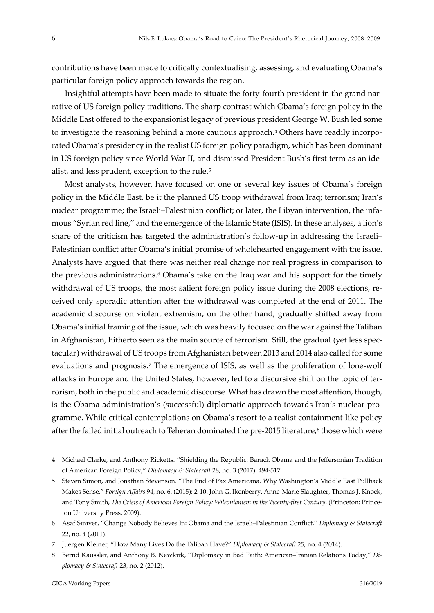contributions have been made to critically contextualising, assessing, and evaluating Obama's particular foreign policy approach towards the region.

Insightful attempts have been made to situate the forty-fourth president in the grand narrative of US foreign policy traditions. The sharp contrast which Obama's foreign policy in the Middle East offered to the expansionist legacy of previous president George W. Bush led some to investigate the reasoning behind a more cautious approach.[4](#page-5-0) Others have readily incorporated Obama's presidency in the realist US foreign policy paradigm, which has been dominant in US foreign policy since World War II, and dismissed President Bush's first term as an ide-alist, and less prudent, exception to the rule.<sup>[5](#page-5-1)</sup>

Most analysts, however, have focused on one or several key issues of Obama's foreign policy in the Middle East, be it the planned US troop withdrawal from Iraq; terrorism; Iran's nuclear programme; the Israeli–Palestinian conflict; or later, the Libyan intervention, the infamous "Syrian red line," and the emergence of the Islamic State (ISIS). In these analyses, a lion's share of the criticism has targeted the administration's follow-up in addressing the Israeli– Palestinian conflict after Obama's initial promise of wholehearted engagement with the issue. Analysts have argued that there was neither real change nor real progress in comparison to the previous administrations.<sup>6</sup> Obama's take on the Iraq war and his support for the timely withdrawal of US troops, the most salient foreign policy issue during the 2008 elections, received only sporadic attention after the withdrawal was completed at the end of 2011. The academic discourse on violent extremism, on the other hand, gradually shifted away from Obama's initial framing of the issue, which was heavily focused on the war against the Taliban in Afghanistan, hitherto seen as the main source of terrorism. Still, the gradual (yet less spectacular) withdrawal of US troops from Afghanistan between 2013 and 2014 also called for some evaluations and prognosis.<sup>[7](#page-5-3)</sup> The emergence of ISIS, as well as the proliferation of lone-wolf attacks in Europe and the United States, however, led to a discursive shift on the topic of terrorism, both in the public and academic discourse. What has drawn the most attention, though, is the Obama administration's (successful) diplomatic approach towards Iran's nuclear programme. While critical contemplations on Obama's resort to a realist containment-like policy after the failed initial outreach to Teheran dominated the pre-2015 literature,<sup>[8](#page-5-4)</sup> those which were

<span id="page-5-0"></span><sup>4</sup> Michael Clarke, and Anthony Ricketts. "Shielding the Republic: Barack Obama and the Jeffersonian Tradition of American Foreign Policy," *Diplomacy & Statecraft* 28, no. 3 (2017): 494-517.

<span id="page-5-1"></span><sup>5</sup> Steven Simon, and Jonathan Stevenson. "The End of Pax Americana. Why Washington's Middle East Pullback Makes Sense," *Foreign Affairs* 94, no. 6. (2015): 2-10. John G. Ikenberry, Anne-Marie Slaughter, Thomas J. Knock, and Tony Smith, *The Crisis of American Foreign Policy: Wilsonianism in the Twenty-first Century.* (Princeton: Princeton University Press, 2009).

<span id="page-5-2"></span><sup>6</sup> Asaf Siniver, "Change Nobody Believes In: Obama and the Israeli–Palestinian Conflict," *Diplomacy & Statecraft* 22, no. 4 (2011).

<span id="page-5-3"></span><sup>7</sup> Juergen Kleiner, "How Many Lives Do the Taliban Have?" *Diplomacy & Statecraft* 25, no. 4 (2014).

<span id="page-5-4"></span><sup>8</sup> Bernd Kaussler, and Anthony B. Newkirk, "Diplomacy in Bad Faith: American–Iranian Relations Today," *Diplomacy & Statecraft* 23, no. 2 (2012).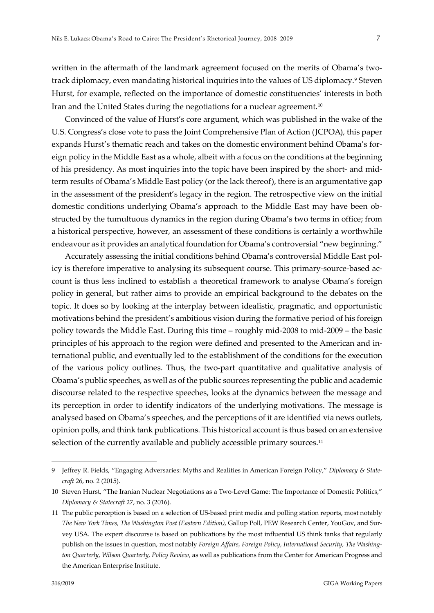written in the aftermath of the landmark agreement focused on the merits of Obama's twotrack diplomacy, even mandating historical inquiries into the values of US diplomacy[.9](#page-6-0) Steven Hurst, for example, reflected on the importance of domestic constituencies' interests in both Iran and the United States during the negotiations for a nuclear agreement.<sup>[10](#page-6-1)</sup>

Convinced of the value of Hurst's core argument, which was published in the wake of the U.S. Congress's close vote to pass the Joint Comprehensive Plan of Action (JCPOA), this paper expands Hurst's thematic reach and takes on the domestic environment behind Obama's foreign policy in the Middle East as a whole, albeit with a focus on the conditions at the beginning of his presidency. As most inquiries into the topic have been inspired by the short- and midterm results of Obama's Middle East policy (or the lack thereof), there is an argumentative gap in the assessment of the president's legacy in the region. The retrospective view on the initial domestic conditions underlying Obama's approach to the Middle East may have been obstructed by the tumultuous dynamics in the region during Obama's two terms in office; from a historical perspective, however, an assessment of these conditions is certainly a worthwhile endeavour as it provides an analytical foundation for Obama's controversial "new beginning."

Accurately assessing the initial conditions behind Obama's controversial Middle East policy is therefore imperative to analysing its subsequent course. This primary-source-based account is thus less inclined to establish a theoretical framework to analyse Obama's foreign policy in general, but rather aims to provide an empirical background to the debates on the topic. It does so by looking at the interplay between idealistic, pragmatic, and opportunistic motivations behind the president's ambitious vision during the formative period of his foreign policy towards the Middle East. During this time – roughly mid-2008 to mid-2009 – the basic principles of his approach to the region were defined and presented to the American and international public, and eventually led to the establishment of the conditions for the execution of the various policy outlines. Thus, the two-part quantitative and qualitative analysis of Obama's public speeches, as well as of the public sources representing the public and academic discourse related to the respective speeches, looks at the dynamics between the message and its perception in order to identify indicators of the underlying motivations. The message is analysed based on Obama's speeches, and the perceptions of it are identified via news outlets, opinion polls, and think tank publications. This historical account is thus based on an extensive selection of the currently available and publicly accessible primary sources.<sup>[11](#page-6-2)</sup>

<span id="page-6-0"></span><sup>9</sup> Jeffrey R. Fields, "Engaging Adversaries: Myths and Realities in American Foreign Policy," *Diplomacy & Statecraft* 26, no. 2 (2015).

<span id="page-6-1"></span><sup>10</sup> Steven Hurst, "The Iranian Nuclear Negotiations as a Two-Level Game: The Importance of Domestic Politics," *Diplomacy & Statecraft* 27, no. 3 (2016).

<span id="page-6-2"></span><sup>11</sup> The public perception is based on a selection of US-based print media and polling station reports, most notably *The New York Times, The Washington Post (Eastern Edition),* Gallup Poll*,* PEW Research Center, YouGov, and Survey USA*.* The expert discourse is based on publications by the most influential US think tanks that regularly publish on the issues in question, most notably *Foreign Affairs, Foreign Policy, International Security, The Washington Quarterly, Wilson Quarterly, Policy Review*, as well as publications from the Center for American Progress and the American Enterprise Institute.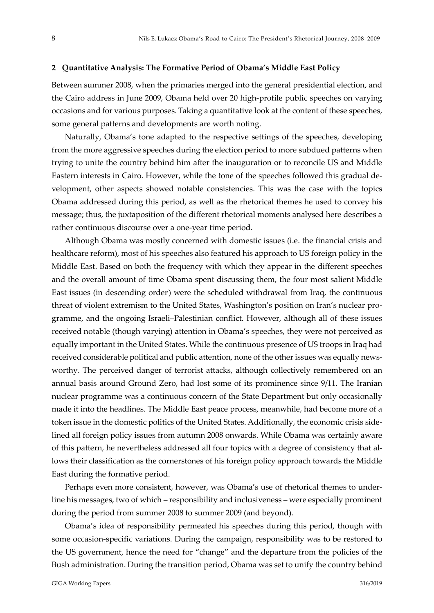#### <span id="page-7-0"></span>**2 Quantitative Analysis: The Formative Period of Obama's Middle East Policy**

Between summer 2008, when the primaries merged into the general presidential election, and the Cairo address in June 2009, Obama held over 20 high-profile public speeches on varying occasions and for various purposes. Taking a quantitative look at the content of these speeches, some general patterns and developments are worth noting.

Naturally, Obama's tone adapted to the respective settings of the speeches, developing from the more aggressive speeches during the election period to more subdued patterns when trying to unite the country behind him after the inauguration or to reconcile US and Middle Eastern interests in Cairo. However, while the tone of the speeches followed this gradual development, other aspects showed notable consistencies. This was the case with the topics Obama addressed during this period, as well as the rhetorical themes he used to convey his message; thus, the juxtaposition of the different rhetorical moments analysed here describes a rather continuous discourse over a one-year time period.

Although Obama was mostly concerned with domestic issues (i.e. the financial crisis and healthcare reform), most of his speeches also featured his approach to US foreign policy in the Middle East. Based on both the frequency with which they appear in the different speeches and the overall amount of time Obama spent discussing them, the four most salient Middle East issues (in descending order) were the scheduled withdrawal from Iraq, the continuous threat of violent extremism to the United States, Washington's position on Iran's nuclear programme, and the ongoing Israeli–Palestinian conflict. However, although all of these issues received notable (though varying) attention in Obama's speeches, they were not perceived as equally important in the United States. While the continuous presence of US troops in Iraq had received considerable political and public attention, none of the other issues was equally newsworthy. The perceived danger of terrorist attacks, although collectively remembered on an annual basis around Ground Zero, had lost some of its prominence since 9/11. The Iranian nuclear programme was a continuous concern of the State Department but only occasionally made it into the headlines. The Middle East peace process, meanwhile, had become more of a token issue in the domestic politics of the United States. Additionally, the economic crisis sidelined all foreign policy issues from autumn 2008 onwards. While Obama was certainly aware of this pattern, he nevertheless addressed all four topics with a degree of consistency that allows their classification as the cornerstones of his foreign policy approach towards the Middle East during the formative period.

Perhaps even more consistent, however, was Obama's use of rhetorical themes to underline his messages, two of which – responsibility and inclusiveness – were especially prominent during the period from summer 2008 to summer 2009 (and beyond).

Obama's idea of responsibility permeated his speeches during this period, though with some occasion-specific variations. During the campaign, responsibility was to be restored to the US government, hence the need for "change" and the departure from the policies of the Bush administration. During the transition period, Obama was set to unify the country behind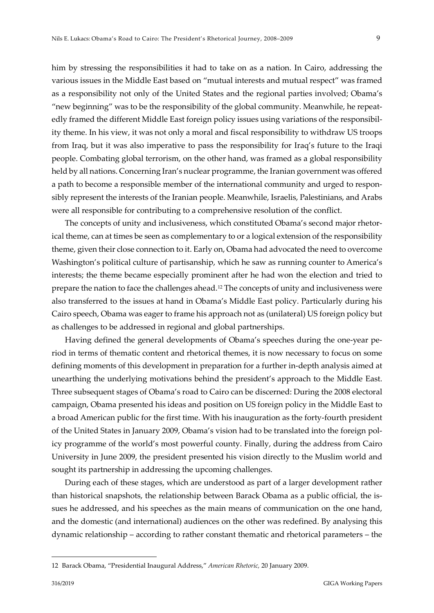him by stressing the responsibilities it had to take on as a nation. In Cairo, addressing the various issues in the Middle East based on "mutual interests and mutual respect" was framed as a responsibility not only of the United States and the regional parties involved; Obama's "new beginning" was to be the responsibility of the global community. Meanwhile, he repeatedly framed the different Middle East foreign policy issues using variations of the responsibility theme. In his view, it was not only a moral and fiscal responsibility to withdraw US troops from Iraq, but it was also imperative to pass the responsibility for Iraq's future to the Iraqi people. Combating global terrorism, on the other hand, was framed as a global responsibility held by all nations. Concerning Iran's nuclear programme, the Iranian government was offered a path to become a responsible member of the international community and urged to responsibly represent the interests of the Iranian people. Meanwhile, Israelis, Palestinians, and Arabs were all responsible for contributing to a comprehensive resolution of the conflict.

The concepts of unity and inclusiveness, which constituted Obama's second major rhetorical theme, can at times be seen as complementary to or a logical extension of the responsibility theme, given their close connection to it. Early on, Obama had advocated the need to overcome Washington's political culture of partisanship, which he saw as running counter to America's interests; the theme became especially prominent after he had won the election and tried to prepare the nation to face the challenges ahead.[12](#page-8-0) The concepts of unity and inclusiveness were also transferred to the issues at hand in Obama's Middle East policy. Particularly during his Cairo speech, Obama was eager to frame his approach not as (unilateral) US foreign policy but as challenges to be addressed in regional and global partnerships.

Having defined the general developments of Obama's speeches during the one-year period in terms of thematic content and rhetorical themes, it is now necessary to focus on some defining moments of this development in preparation for a further in-depth analysis aimed at unearthing the underlying motivations behind the president's approach to the Middle East. Three subsequent stages of Obama's road to Cairo can be discerned: During the 2008 electoral campaign, Obama presented his ideas and position on US foreign policy in the Middle East to a broad American public for the first time. With his inauguration as the forty-fourth president of the United States in January 2009, Obama's vision had to be translated into the foreign policy programme of the world's most powerful county. Finally, during the address from Cairo University in June 2009, the president presented his vision directly to the Muslim world and sought its partnership in addressing the upcoming challenges.

During each of these stages, which are understood as part of a larger development rather than historical snapshots, the relationship between Barack Obama as a public official, the issues he addressed, and his speeches as the main means of communication on the one hand, and the domestic (and international) audiences on the other was redefined. By analysing this dynamic relationship – according to rather constant thematic and rhetorical parameters – the

<span id="page-8-0"></span><sup>12</sup> Barack Obama, "Presidential Inaugural Address," *American Rhetoric,* 20 January 2009.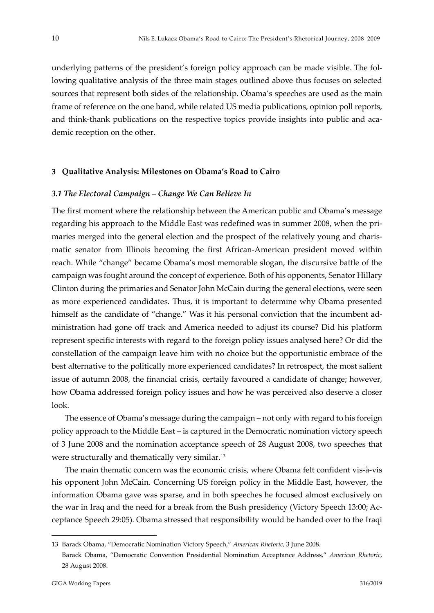underlying patterns of the president's foreign policy approach can be made visible. The following qualitative analysis of the three main stages outlined above thus focuses on selected sources that represent both sides of the relationship. Obama's speeches are used as the main frame of reference on the one hand, while related US media publications, opinion poll reports, and think-thank publications on the respective topics provide insights into public and academic reception on the other.

#### <span id="page-9-0"></span>**3 Qualitative Analysis: Milestones on Obama's Road to Cairo**

#### *3.1 The Electoral Campaign – Change We Can Believe In*

The first moment where the relationship between the American public and Obama's message regarding his approach to the Middle East was redefined was in summer 2008, when the primaries merged into the general election and the prospect of the relatively young and charismatic senator from Illinois becoming the first African-American president moved within reach. While "change" became Obama's most memorable slogan, the discursive battle of the campaign was fought around the concept of experience. Both of his opponents, Senator Hillary Clinton during the primaries and Senator John McCain during the general elections, were seen as more experienced candidates. Thus, it is important to determine why Obama presented himself as the candidate of "change." Was it his personal conviction that the incumbent administration had gone off track and America needed to adjust its course? Did his platform represent specific interests with regard to the foreign policy issues analysed here? Or did the constellation of the campaign leave him with no choice but the opportunistic embrace of the best alternative to the politically more experienced candidates? In retrospect, the most salient issue of autumn 2008, the financial crisis, certaily favoured a candidate of change; however, how Obama addressed foreign policy issues and how he was perceived also deserve a closer look.

The essence of Obama's message during the campaign – not only with regard to his foreign policy approach to the Middle East – is captured in the Democratic nomination victory speech of 3 June 2008 and the nomination acceptance speech of 28 August 2008, two speeches that were structurally and thematically very similar.<sup>[13](#page-9-1)</sup>

The main thematic concern was the economic crisis, where Obama felt confident vis-à-vis his opponent John McCain. Concerning US foreign policy in the Middle East, however, the information Obama gave was sparse, and in both speeches he focused almost exclusively on the war in Iraq and the need for a break from the Bush presidency (Victory Speech 13:00; Acceptance Speech 29:05). Obama stressed that responsibility would be handed over to the Iraqi

<span id="page-9-1"></span><sup>13</sup> Barack Obama, "Democratic Nomination Victory Speech," *American Rhetoric,* 3 June 2008. Barack Obama, "Democratic Convention Presidential Nomination Acceptance Address," *American Rhetoric*, 28 August 2008.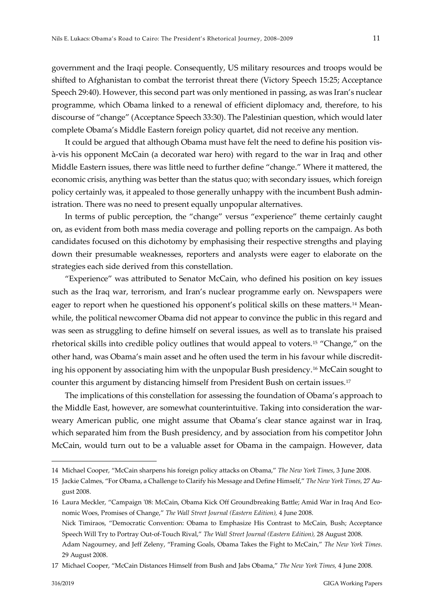government and the Iraqi people. Consequently, US military resources and troops would be shifted to Afghanistan to combat the terrorist threat there (Victory Speech 15:25; Acceptance Speech 29:40). However, this second part was only mentioned in passing, as was Iran's nuclear programme, which Obama linked to a renewal of efficient diplomacy and, therefore, to his discourse of "change" (Acceptance Speech 33:30). The Palestinian question, which would later complete Obama's Middle Eastern foreign policy quartet, did not receive any mention.

It could be argued that although Obama must have felt the need to define his position visà-vis his opponent McCain (a decorated war hero) with regard to the war in Iraq and other Middle Eastern issues, there was little need to further define "change." Where it mattered, the economic crisis, anything was better than the status quo; with secondary issues, which foreign policy certainly was, it appealed to those generally unhappy with the incumbent Bush administration. There was no need to present equally unpopular alternatives.

In terms of public perception, the "change" versus "experience" theme certainly caught on, as evident from both mass media coverage and polling reports on the campaign. As both candidates focused on this dichotomy by emphasising their respective strengths and playing down their presumable weaknesses, reporters and analysts were eager to elaborate on the strategies each side derived from this constellation.

"Experience" was attributed to Senator McCain, who defined his position on key issues such as the Iraq war, terrorism, and Iran's nuclear programme early on. Newspapers were eager to report when he questioned his opponent's political skills on these matters.<sup>[14](#page-10-0)</sup> Meanwhile, the political newcomer Obama did not appear to convince the public in this regard and was seen as struggling to define himself on several issues, as well as to translate his praised rhetorical skills into credible policy outlines that would appeal to voters.[15](#page-10-1) "Change," on the other hand, was Obama's main asset and he often used the term in his favour while discrediting his opponent by associating him with the unpopular Bush presidency.[16](#page-10-2) McCain sought to counter this argument by distancing himself from President Bush on certain issues.[17](#page-10-3)

The implications of this constellation for assessing the foundation of Obama's approach to the Middle East, however, are somewhat counterintuitive. Taking into consideration the warweary American public, one might assume that Obama's clear stance against war in Iraq, which separated him from the Bush presidency, and by association from his competitor John McCain, would turn out to be a valuable asset for Obama in the campaign. However, data

<span id="page-10-2"></span>16 Laura Meckler, "Campaign '08: McCain, Obama Kick Off Groundbreaking Battle; Amid War in Iraq And Economic Woes, Promises of Change," *The Wall Street Journal (Eastern Edition),* 4 June 2008. Nick Timiraos, "Democratic Convention: Obama to Emphasize His Contrast to McCain, Bush; Acceptance Speech Will Try to Portray Out-of-Touch Rival," *The Wall Street Journal (Eastern Edition),* 28 August 2008. Adam Nagourney, and Jeff Zeleny, "Framing Goals, Obama Takes the Fight to McCain," *The New York Times*. 29 August 2008.

<span id="page-10-3"></span>17 Michael Cooper, "McCain Distances Himself from Bush and Jabs Obama," *The New York Times,* 4 June 2008.

<span id="page-10-0"></span><sup>14</sup> Michael Cooper, "McCain sharpens his foreign policy attacks on Obama," *The New York Times*, 3 June 2008.

<span id="page-10-1"></span><sup>15</sup> Jackie Calmes, "For Obama, a Challenge to Clarify his Message and Define Himself," *The New York Times,* 27 August 2008.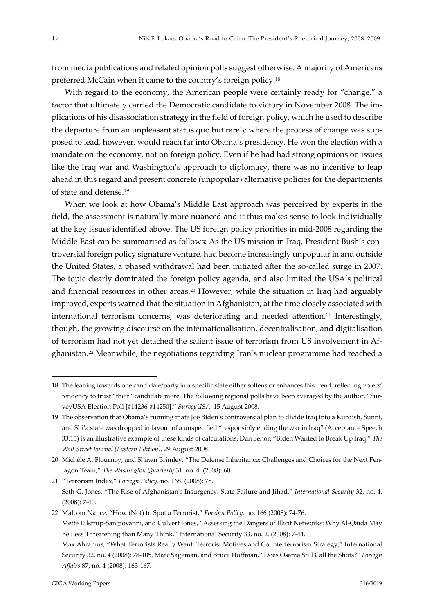from media publications and related opinion polls suggest otherwise. A majority of Americans preferred McCain when it came to the country's foreign policy.[18](#page-11-0)

With regard to the economy, the American people were certainly ready for "change," a factor that ultimately carried the Democratic candidate to victory in November 2008. The implications of his disassociation strategy in the field of foreign policy, which he used to describe the departure from an unpleasant status quo but rarely where the process of change was supposed to lead, however, would reach far into Obama's presidency. He won the election with a mandate on the economy, not on foreign policy. Even if he had had strong opinions on issues like the Iraq war and Washington's approach to diplomacy, there was no incentive to leap ahead in this regard and present concrete (unpopular) alternative policies for the departments of state and defense.[19](#page-11-1)

When we look at how Obama's Middle East approach was perceived by experts in the field, the assessment is naturally more nuanced and it thus makes sense to look individually at the key issues identified above. The US foreign policy priorities in mid-2008 regarding the Middle East can be summarised as follows: As the US mission in Iraq, President Bush's controversial foreign policy signature venture, had become increasingly unpopular in and outside the United States, a phased withdrawal had been initiated after the so-called surge in 2007. The topic clearly dominated the foreign policy agenda, and also limited the USA's political and financial resources in other areas[.20](#page-11-2) However, while the situation in Iraq had arguably improved, experts warned that the situation in Afghanistan, at the time closely associated with international terrorism concerns, was deteriorating and needed attention.[21](#page-11-3) Interestingly, though, the growing discourse on the internationalisation, decentralisation, and digitalisation of terrorism had not yet detached the salient issue of terrorism from US involvement in Afghanistan.[22](#page-11-4) Meanwhile, the negotiations regarding Iran's nuclear programme had reached a

<span id="page-11-0"></span><sup>18</sup> The leaning towards one candidate/party in a specific state either softens or enhances this trend, reflecting voters' tendency to trust "their" candidate more. The following regional polls have been averaged by the author, "SurveyUSA Election Poll [#14236-#14250]," *SurveyUSA,* 15 August 2008.

<span id="page-11-1"></span><sup>19</sup> The observation that Obama's running mate Joe Biden's controversial plan to divide Iraq into a Kurdish, Sunni, and Shi'a state was dropped in favour of a unspecified "responsibly ending the war in Iraq" (Acceptance Speech 33:15) is an illustrative example of these kinds of calculations, Dan Senor, "Biden Wanted to Break Up Iraq," *The Wall Street Journal (Eastern Edition),* 29 August 2008.

<span id="page-11-2"></span><sup>20</sup> Michèle A. Flournoy, and Shawn Brimley, "The Defense Inheritance: Challenges and Choices for the Next Pentagon Team," *The Washington Quarterly* 31. no. 4. (2008): 60.

<span id="page-11-3"></span><sup>21</sup> "Terrorism Index," *Foreign Policy,* no. 168. (2008): 78. Seth G. Jones, "The Rise of Afghanistan's Insurgency: State Failure and Jihad," *International Security* 32, no. 4. (2008): 7-40.

<span id="page-11-4"></span><sup>22</sup> Malcom Nance, "How (Not) to Spot a Terrorist," *Foreign Policy,* no. 166 (2008): 74-76. Mette Eilstrup-Sangiovanni, and Culvert Jones, "Assessing the Dangers of Illicit Networks: Why Al-Qaida May Be Less Threatening than Many Think," International Security 33, no. 2. (2008): 7-44. Max Abrahms, "What Terrorists Really Want: Terrorist Motives and Counterterrorism Strategy," International Security 32, no. 4 (2008): 78-105. Marc Sageman, and Bruce Hoffman, "Does Osama Still Call the Shots?" *Foreign Affairs* 87, no. 4 (2008): 163-167.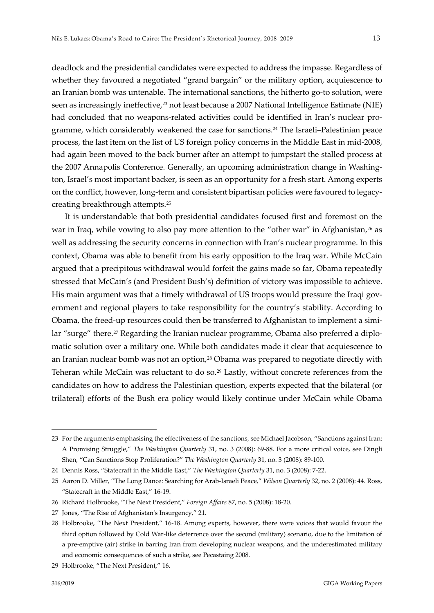deadlock and the presidential candidates were expected to address the impasse. Regardless of whether they favoured a negotiated "grand bargain" or the military option, acquiescence to an Iranian bomb was untenable. The international sanctions, the hitherto go-to solution, were seen as increasingly ineffective,<sup>[23](#page-12-0)</sup> not least because a 2007 National Intelligence Estimate (NIE) had concluded that no weapons-related activities could be identified in Iran's nuclear programme, which considerably weakened the case for sanctions.[24](#page-12-1) The Israeli–Palestinian peace process, the last item on the list of US foreign policy concerns in the Middle East in mid-2008, had again been moved to the back burner after an attempt to jumpstart the stalled process at the 2007 Annapolis Conference. Generally, an upcoming administration change in Washington, Israel's most important backer, is seen as an opportunity for a fresh start. Among experts on the conflict, however, long-term and consistent bipartisan policies were favoured to legacycreating breakthrough attempts[.25](#page-12-2)

It is understandable that both presidential candidates focused first and foremost on the war in Iraq, while vowing to also pay more attention to the "other war" in Afghanistan,<sup>[26](#page-12-3)</sup> as well as addressing the security concerns in connection with Iran's nuclear programme. In this context, Obama was able to benefit from his early opposition to the Iraq war. While McCain argued that a precipitous withdrawal would forfeit the gains made so far, Obama repeatedly stressed that McCain's (and President Bush's) definition of victory was impossible to achieve. His main argument was that a timely withdrawal of US troops would pressure the Iraqi government and regional players to take responsibility for the country's stability. According to Obama, the freed-up resources could then be transferred to Afghanistan to implement a simi-lar "surge" there.<sup>[27](#page-12-4)</sup> Regarding the Iranian nuclear programme, Obama also preferred a diplomatic solution over a military one. While both candidates made it clear that acquiescence to an Iranian nuclear bomb was not an option,<sup>[28](#page-12-5)</sup> Obama was prepared to negotiate directly with Teheran while McCain was reluctant to do so.<sup>[29](#page-12-6)</sup> Lastly, without concrete references from the candidates on how to address the Palestinian question, experts expected that the bilateral (or trilateral) efforts of the Bush era policy would likely continue under McCain while Obama

<span id="page-12-0"></span><sup>23</sup> For the arguments emphasising the effectiveness of the sanctions, see Michael Jacobson, "Sanctions against Iran: A Promising Struggle," *The Washington Quarterly* 31, no. 3 (2008): 69-88. For a more critical voice, see Dingli Shen, "Can Sanctions Stop Proliferation?" *The Washington Quarterly* 31, no. 3 (2008): 89-100.

<span id="page-12-1"></span><sup>24</sup> Dennis Ross, "Statecraft in the Middle East," *The Washington Quarterly* 31, no. 3 (2008): 7-22.

<span id="page-12-2"></span><sup>25</sup> Aaron D. Miller, "The Long Dance: Searching for Arab-Israeli Peace," *Wilson Quarterly* 32, no. 2 (2008): 44. Ross, "Statecraft in the Middle East," 16-19.

<span id="page-12-3"></span><sup>26</sup> Richard Holbrooke, "The Next President," *Foreign Affairs* 87, no. 5 (2008): 18-20.

<span id="page-12-4"></span><sup>27</sup> Jones, "The Rise of Afghanistan's Insurgency," 21.

<span id="page-12-5"></span><sup>28</sup> Holbrooke, "The Next President," 16-18. Among experts, however, there were voices that would favour the third option followed by Cold War-like deterrence over the second (military) scenario, due to the limitation of a pre-emptive (air) strike in barring Iran from developing nuclear weapons, and the underestimated military and economic consequences of such a strike, see Pecastaing 2008.

<span id="page-12-6"></span><sup>29</sup> Holbrooke, "The Next President," 16.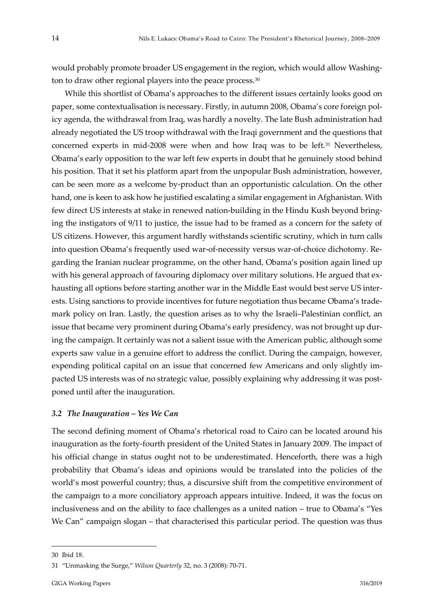would probably promote broader US engagement in the region, which would allow Washing-ton to draw other regional players into the peace process.<sup>[30](#page-13-0)</sup>

While this shortlist of Obama's approaches to the different issues certainly looks good on paper, some contextualisation is necessary. Firstly, in autumn 2008, Obama's core foreign policy agenda, the withdrawal from Iraq, was hardly a novelty. The late Bush administration had already negotiated the US troop withdrawal with the Iraqi government and the questions that concerned experts in mid-2008 were when and how Iraq was to be left.[31](#page-13-1) Nevertheless, Obama's early opposition to the war left few experts in doubt that he genuinely stood behind his position. That it set his platform apart from the unpopular Bush administration, however, can be seen more as a welcome by-product than an opportunistic calculation. On the other hand, one is keen to ask how he justified escalating a similar engagement in Afghanistan. With few direct US interests at stake in renewed nation-building in the Hindu Kush beyond bringing the instigators of 9/11 to justice, the issue had to be framed as a concern for the safety of US citizens. However, this argument hardly withstands scientific scrutiny, which in turn calls into question Obama's frequently used war-of-necessity versus war-of-choice dichotomy. Regarding the Iranian nuclear programme, on the other hand, Obama's position again lined up with his general approach of favouring diplomacy over military solutions. He argued that exhausting all options before starting another war in the Middle East would best serve US interests. Using sanctions to provide incentives for future negotiation thus became Obama's trademark policy on Iran. Lastly, the question arises as to why the Israeli–Palestinian conflict, an issue that became very prominent during Obama's early presidency, was not brought up during the campaign. It certainly was not a salient issue with the American public, although some experts saw value in a genuine effort to address the conflict. During the campaign, however, expending political capital on an issue that concerned few Americans and only slightly impacted US interests was of no strategic value, possibly explaining why addressing it was postponed until after the inauguration.

#### *3.2 The Inauguration – Yes We Can*

The second defining moment of Obama's rhetorical road to Cairo can be located around his inauguration as the forty-fourth president of the United States in January 2009. The impact of his official change in status ought not to be underestimated. Henceforth, there was a high probability that Obama's ideas and opinions would be translated into the policies of the world's most powerful country; thus, a discursive shift from the competitive environment of the campaign to a more conciliatory approach appears intuitive. Indeed, it was the focus on inclusiveness and on the ability to face challenges as a united nation – true to Obama's "Yes We Can" campaign slogan – that characterised this particular period. The question was thus

<span id="page-13-0"></span><sup>30</sup> Ibid 18.

<span id="page-13-1"></span><sup>31</sup> "Unmasking the Surge," *Wilson Quarterly* 32, no. 3 (2008): 70-71.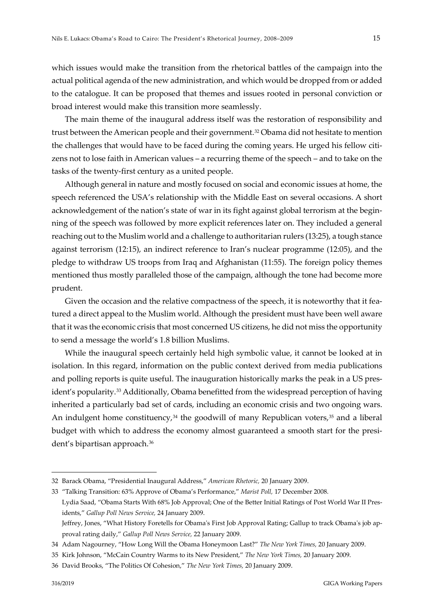which issues would make the transition from the rhetorical battles of the campaign into the actual political agenda of the new administration, and which would be dropped from or added to the catalogue. It can be proposed that themes and issues rooted in personal conviction or broad interest would make this transition more seamlessly.

The main theme of the inaugural address itself was the restoration of responsibility and trust between the American people and their government.[32](#page-14-0) Obama did not hesitate to mention the challenges that would have to be faced during the coming years. He urged his fellow citizens not to lose faith in American values – a recurring theme of the speech – and to take on the tasks of the twenty-first century as a united people.

Although general in nature and mostly focused on social and economic issues at home, the speech referenced the USA's relationship with the Middle East on several occasions. A short acknowledgement of the nation's state of war in its fight against global terrorism at the beginning of the speech was followed by more explicit references later on. They included a general reaching out to the Muslim world and a challenge to authoritarian rulers (13:25), a tough stance against terrorism (12:15), an indirect reference to Iran's nuclear programme (12:05), and the pledge to withdraw US troops from Iraq and Afghanistan (11:55). The foreign policy themes mentioned thus mostly paralleled those of the campaign, although the tone had become more prudent.

Given the occasion and the relative compactness of the speech, it is noteworthy that it featured a direct appeal to the Muslim world. Although the president must have been well aware that it was the economic crisis that most concerned US citizens, he did not miss the opportunity to send a message the world's 1.8 billion Muslims.

While the inaugural speech certainly held high symbolic value, it cannot be looked at in isolation. In this regard, information on the public context derived from media publications and polling reports is quite useful. The inauguration historically marks the peak in a US president's popularity.[33](#page-14-1) Additionally, Obama benefitted from the widespread perception of having inherited a particularly bad set of cards, including an economic crisis and two ongoing wars. An indulgent home constituency, $34$  the goodwill of many Republican voters, $35$  and a liberal budget with which to address the economy almost guaranteed a smooth start for the president's bipartisan approach[.36](#page-14-4)

<span id="page-14-0"></span><sup>32</sup> Barack Obama, "Presidential Inaugural Address," *American Rhetoric,* 20 January 2009.

<span id="page-14-1"></span><sup>33</sup> "Talking Transition: 63% Approve of Obama's Performance," *Marist Poll,* 17 December 2008. Lydia Saad, "Obama Starts With 68% Job Approval; One of the Better Initial Ratings of Post World War II Presidents," *Gallup Poll News Service,* 24 January 2009. Jeffrey, Jones, "What History Foretells for Obama's First Job Approval Rating; Gallup to track Obama's job approval rating daily," *Gallup Poll News Service,* 22 January 2009.

<span id="page-14-2"></span><sup>34</sup> Adam Nagourney, "How Long Will the Obama Honeymoon Last?" *The New York Times,* 20 January 2009.

<span id="page-14-3"></span><sup>35</sup> Kirk Johnson, "McCain Country Warms to its New President," *The New York Times,* 20 January 2009.

<span id="page-14-4"></span><sup>36</sup> David Brooks, "The Politics Of Cohesion," *The New York Times,* 20 January 2009.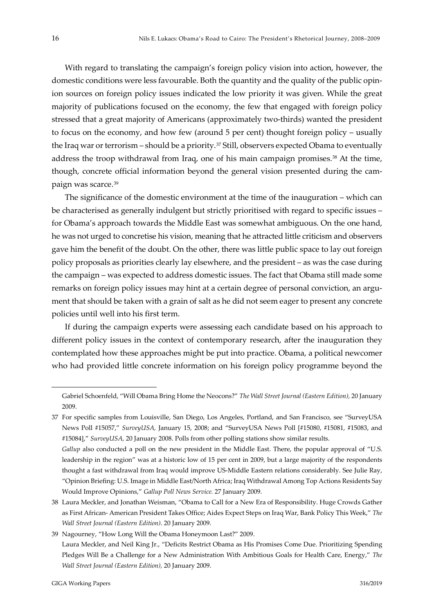With regard to translating the campaign's foreign policy vision into action, however, the domestic conditions were less favourable. Both the quantity and the quality of the public opinion sources on foreign policy issues indicated the low priority it was given. While the great majority of publications focused on the economy, the few that engaged with foreign policy stressed that a great majority of Americans (approximately two-thirds) wanted the president to focus on the economy, and how few (around 5 per cent) thought foreign policy – usually the Iraq war or terrorism – should be a priority.<sup>[37](#page-15-0)</sup> Still, observers expected Obama to eventually address the troop withdrawal from Iraq, one of his main campaign promises.<sup>[38](#page-15-1)</sup> At the time, though, concrete official information beyond the general vision presented during the campaign was scarce.[39](#page-15-2)

The significance of the domestic environment at the time of the inauguration – which can be characterised as generally indulgent but strictly prioritised with regard to specific issues – for Obama's approach towards the Middle East was somewhat ambiguous. On the one hand, he was not urged to concretise his vision, meaning that he attracted little criticism and observers gave him the benefit of the doubt. On the other, there was little public space to lay out foreign policy proposals as priorities clearly lay elsewhere, and the president – as was the case during the campaign – was expected to address domestic issues. The fact that Obama still made some remarks on foreign policy issues may hint at a certain degree of personal conviction, an argument that should be taken with a grain of salt as he did not seem eager to present any concrete policies until well into his first term.

If during the campaign experts were assessing each candidate based on his approach to different policy issues in the context of contemporary research, after the inauguration they contemplated how these approaches might be put into practice. Obama, a political newcomer who had provided little concrete information on his foreign policy programme beyond the

Gabriel Schoenfeld, "Will Obama Bring Home the Neocons?" *The Wall Street Journal (Eastern Edition),* 20 January 2009.

<span id="page-15-0"></span><sup>37</sup> For specific samples from Louisville, San Diego, Los Angeles, Portland, and San Francisco, see "SurveyUSA News Poll #15057," *SurveyUSA,* January 15, 2008; and "SurveyUSA News Poll [#15080, #15081, #15083, and #15084]," *SurveyUSA,* 20 January 2008. Polls from other polling stations show similar results.

*Gallup* also conducted a poll on the new president in the Middle East. There, the popular approval of "U.S. leadership in the region" was at a historic low of 15 per cent in 2009, but a large majority of the respondents thought a fast withdrawal from Iraq would improve US-Middle Eastern relations considerably. See Julie Ray, "Opinion Briefing: U.S. Image in Middle East/North Africa; Iraq Withdrawal Among Top Actions Residents Say Would Improve Opinions," *Gallup Poll News Service.* 27 January 2009.

<span id="page-15-1"></span><sup>38</sup> Laura Meckler, and Jonathan Weisman, "Obama to Call for a New Era of Responsibility. Huge Crowds Gather as First African- American President Takes Office; Aides Expect Steps on Iraq War, Bank Policy This Week," *The Wall Street Journal (Eastern Edition)*. 20 January 2009.

<span id="page-15-2"></span><sup>39</sup> Nagourney, "How Long Will the Obama Honeymoon Last?" 2009.

Laura Meckler, and Neil King Jr., "Deficits Restrict Obama as His Promises Come Due. Prioritizing Spending Pledges Will Be a Challenge for a New Administration With Ambitious Goals for Health Care, Energy," *The Wall Street Journal (Eastern Edition),* 20 January 2009.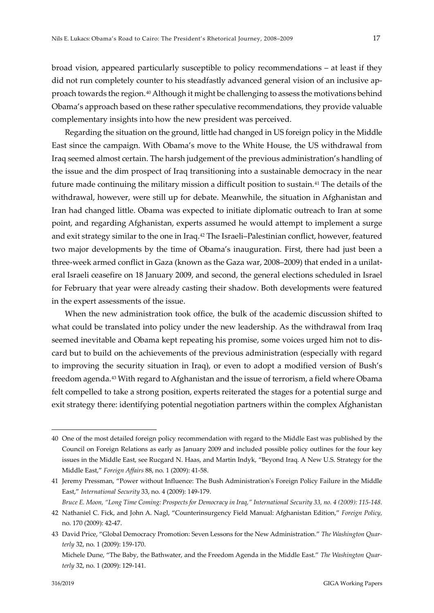broad vision, appeared particularly susceptible to policy recommendations – at least if they did not run completely counter to his steadfastly advanced general vision of an inclusive approach towards the region.[40](#page-16-0) Although it might be challenging to assess the motivations behind Obama's approach based on these rather speculative recommendations, they provide valuable complementary insights into how the new president was perceived.

Regarding the situation on the ground, little had changed in US foreign policy in the Middle East since the campaign. With Obama's move to the White House, the US withdrawal from Iraq seemed almost certain. The harsh judgement of the previous administration's handling of the issue and the dim prospect of Iraq transitioning into a sustainable democracy in the near future made continuing the military mission a difficult position to sustain.[41](#page-16-1) The details of the withdrawal, however, were still up for debate. Meanwhile, the situation in Afghanistan and Iran had changed little. Obama was expected to initiate diplomatic outreach to Iran at some point, and regarding Afghanistan, experts assumed he would attempt to implement a surge and exit strategy similar to the one in Iraq.<sup>42</sup> The Israeli-Palestinian conflict, however, featured two major developments by the time of Obama's inauguration. First, there had just been a three-week armed conflict in Gaza (known as the Gaza war, 2008–2009) that ended in a unilateral Israeli ceasefire on 18 January 2009, and second, the general elections scheduled in Israel for February that year were already casting their shadow. Both developments were featured in the expert assessments of the issue.

When the new administration took office, the bulk of the academic discussion shifted to what could be translated into policy under the new leadership. As the withdrawal from Iraq seemed inevitable and Obama kept repeating his promise, some voices urged him not to discard but to build on the achievements of the previous administration (especially with regard to improving the security situation in Iraq), or even to adopt a modified version of Bush's freedom agenda.[43](#page-16-3) With regard to Afghanistan and the issue of terrorism, a field where Obama felt compelled to take a strong position, experts reiterated the stages for a potential surge and exit strategy there: identifying potential negotiation partners within the complex Afghanistan

<span id="page-16-0"></span><sup>40</sup> One of the most detailed foreign policy recommendation with regard to the Middle East was published by the Council on Foreign Relations as early as January 2009 and included possible policy outlines for the four key issues in the Middle East, see Rucgard N. Haas, and Martin Indyk, "Beyond Iraq. A New U.S. Strategy for the Middle East," *Foreign Affairs* 88, no. 1 (2009): 41-58.

<span id="page-16-1"></span><sup>41</sup> Jeremy Pressman, "Power without Influence: The Bush Administration's Foreign Policy Failure in the Middle East," *International Security* 33, no. 4 (2009): 149-179.

*Bruce E. Moon, "Long Time Coming: Prospects for Democracy in Iraq," International Security 33, no. 4 (2009): 115-148.*

<span id="page-16-2"></span><sup>42</sup> Nathaniel C. Fick, and John A. Nagl, "Counterinsurgency Field Manual: Afghanistan Edition," *Foreign Policy,* no. 170 (2009): 42-47.

<span id="page-16-3"></span><sup>43</sup> David Price, "Global Democracy Promotion: Seven Lessons for the New Administration." *The Washington Quarterly* 32, no. 1 (2009): 159-170.

Michele Dune, "The Baby, the Bathwater, and the Freedom Agenda in the Middle East." *The Washington Quarterly* 32, no. 1 (2009): 129-141.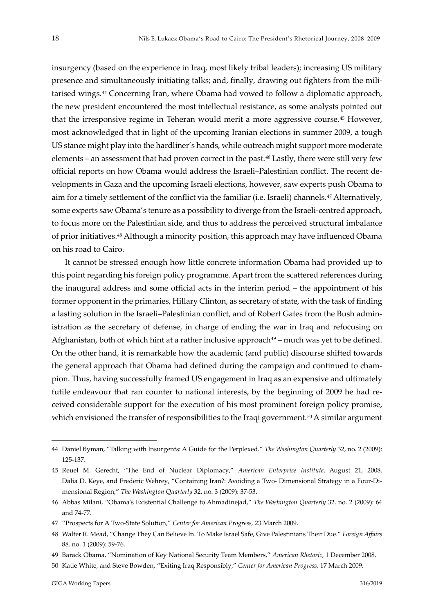insurgency (based on the experience in Iraq, most likely tribal leaders); increasing US military presence and simultaneously initiating talks; and, finally, drawing out fighters from the militarised wings.[44](#page-17-0) Concerning Iran, where Obama had vowed to follow a diplomatic approach, the new president encountered the most intellectual resistance, as some analysts pointed out that the irresponsive regime in Teheran would merit a more aggressive course.[45](#page-17-1) However, most acknowledged that in light of the upcoming Iranian elections in summer 2009, a tough US stance might play into the hardliner's hands, while outreach might support more moderate elements – an assessment that had proven correct in the past.[46](#page-17-2) Lastly, there were still very few official reports on how Obama would address the Israeli–Palestinian conflict. The recent developments in Gaza and the upcoming Israeli elections, however, saw experts push Obama to aim for a timely settlement of the conflict via the familiar (i.e. Israeli) channels.[47](#page-17-3) Alternatively, some experts saw Obama's tenure as a possibility to diverge from the Israeli-centred approach, to focus more on the Palestinian side, and thus to address the perceived structural imbalance of prior initiatives.[48](#page-17-4) Although a minority position, this approach may have influenced Obama on his road to Cairo.

It cannot be stressed enough how little concrete information Obama had provided up to this point regarding his foreign policy programme. Apart from the scattered references during the inaugural address and some official acts in the interim period – the appointment of his former opponent in the primaries, Hillary Clinton, as secretary of state, with the task of finding a lasting solution in the Israeli–Palestinian conflict, and of Robert Gates from the Bush administration as the secretary of defense, in charge of ending the war in Iraq and refocusing on Afghanistan, both of which hint at a rather inclusive approach $49$  – much was yet to be defined. On the other hand, it is remarkable how the academic (and public) discourse shifted towards the general approach that Obama had defined during the campaign and continued to champion. Thus, having successfully framed US engagement in Iraq as an expensive and ultimately futile endeavour that ran counter to national interests, by the beginning of 2009 he had received considerable support for the execution of his most prominent foreign policy promise, which envisioned the transfer of responsibilities to the Iraqi government.<sup>[50](#page-17-6)</sup> A similar argument

<span id="page-17-0"></span><sup>44</sup> Daniel Byman, "Talking with Insurgents: A Guide for the Perplexed." *The Washington Quarterly* 32, no. 2 (2009): 125-137.

<span id="page-17-1"></span><sup>45</sup> Reuel M. Gerecht, "The End of Nuclear Diplomacy," *American Enterprise Institute*. August 21, 2008. Dalia D. Keye, and Frederic Wehrey, "Containing Iran?: Avoiding a Two- Dimensional Strategy in a Four-Dimensional Region," *The Washington Quarterly* 32. no. 3 (2009): 37-53.

<span id="page-17-2"></span><sup>46</sup> Abbas Milani, "Obama's Existential Challenge to Ahmadinejad," *The Washington Quarterly* 32. no. 2 (2009): 64 and 74-77.

<span id="page-17-3"></span><sup>47</sup> "Prospects for A Two-State Solution," *Center for American Progress,* 23 March 2009.

<span id="page-17-4"></span><sup>48</sup> Walter R. Mead, "Change They Can Believe In. To Make Israel Safe, Give Palestinians Their Due." *Foreign Affairs*  88. no. 1 (2009): 59-76.

<span id="page-17-5"></span><sup>49</sup> Barack Obama, "Nomination of Key National Security Team Members," *American Rhetoric,* 1 December 2008.

<span id="page-17-6"></span><sup>50</sup> Katie White, and Steve Bowden, "Exiting Iraq Responsibly," *Center for American Progress,* 17 March 2009.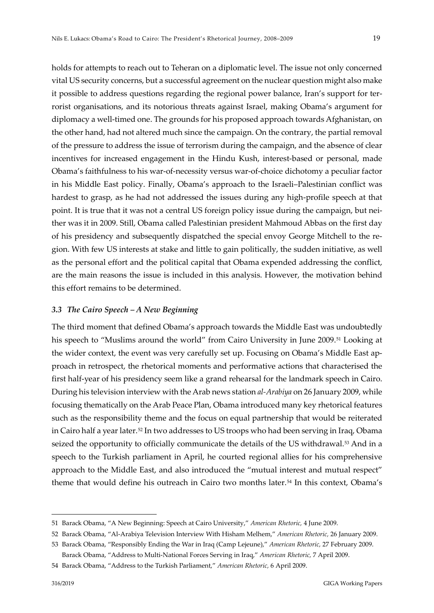holds for attempts to reach out to Teheran on a diplomatic level. The issue not only concerned vital US security concerns, but a successful agreement on the nuclear question might also make it possible to address questions regarding the regional power balance, Iran's support for terrorist organisations, and its notorious threats against Israel, making Obama's argument for diplomacy a well-timed one. The grounds for his proposed approach towards Afghanistan, on the other hand, had not altered much since the campaign. On the contrary, the partial removal of the pressure to address the issue of terrorism during the campaign, and the absence of clear incentives for increased engagement in the Hindu Kush, interest-based or personal, made Obama's faithfulness to his war-of-necessity versus war-of-choice dichotomy a peculiar factor in his Middle East policy. Finally, Obama's approach to the Israeli–Palestinian conflict was hardest to grasp, as he had not addressed the issues during any high-profile speech at that point. It is true that it was not a central US foreign policy issue during the campaign, but neither was it in 2009. Still, Obama called Palestinian president Mahmoud Abbas on the first day of his presidency and subsequently dispatched the special envoy George Mitchell to the region. With few US interests at stake and little to gain politically, the sudden initiative, as well as the personal effort and the political capital that Obama expended addressing the conflict, are the main reasons the issue is included in this analysis. However, the motivation behind this effort remains to be determined.

#### *3.3 The Cairo Speech – A New Beginning*

The third moment that defined Obama's approach towards the Middle East was undoubtedly his speech to "Muslims around the world" from Cairo University in June 2009.<sup>51</sup> Looking at the wider context, the event was very carefully set up. Focusing on Obama's Middle East approach in retrospect, the rhetorical moments and performative actions that characterised the first half-year of his presidency seem like a grand rehearsal for the landmark speech in Cairo. During his television interview with the Arab news station *al-Arabiya* on 26 January 2009, while focusing thematically on the Arab Peace Plan, Obama introduced many key rhetorical features such as the responsibility theme and the focus on equal partnership that would be reiterated in Cairo half a year later.<sup>[52](#page-18-1)</sup> In two addresses to US troops who had been serving in Iraq, Obama seized the opportunity to officially communicate the details of the US withdrawal.<sup>[53](#page-18-2)</sup> And in a speech to the Turkish parliament in April, he courted regional allies for his comprehensive approach to the Middle East, and also introduced the "mutual interest and mutual respect" theme that would define his outreach in Cairo two months later.<sup>[54](#page-18-3)</sup> In this context, Obama's

<span id="page-18-0"></span><sup>51</sup> Barack Obama, "A New Beginning: Speech at Cairo University," *American Rhetoric,* 4 June 2009.

<span id="page-18-1"></span><sup>52</sup> Barack Obama, "Al-Arabiya Television Interview With Hisham Melhem," *American Rhetoric,* 26 January 2009.

<span id="page-18-2"></span><sup>53</sup> Barack Obama, "Responsibly Ending the War in Iraq (Camp Lejeune)," *American Rhetoric,* 27 February 2009. Barack Obama, "Address to Multi-National Forces Serving in Iraq," *American Rhetoric,* 7 April 2009.

<span id="page-18-3"></span><sup>54</sup> Barack Obama, "Address to the Turkish Parliament," *American Rhetoric,* 6 April 2009.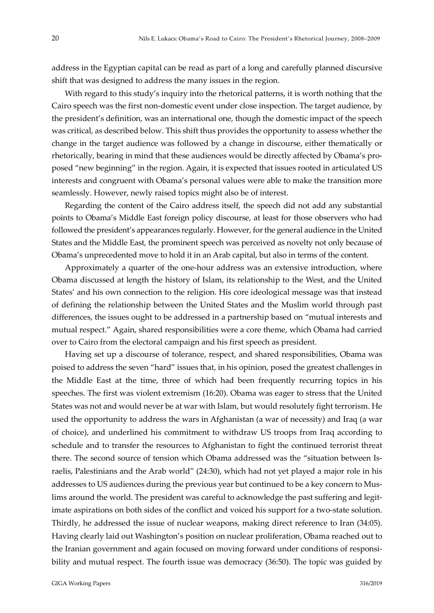address in the Egyptian capital can be read as part of a long and carefully planned discursive shift that was designed to address the many issues in the region.

With regard to this study's inquiry into the rhetorical patterns, it is worth nothing that the Cairo speech was the first non-domestic event under close inspection. The target audience, by the president's definition, was an international one, though the domestic impact of the speech was critical, as described below. This shift thus provides the opportunity to assess whether the change in the target audience was followed by a change in discourse, either thematically or rhetorically, bearing in mind that these audiences would be directly affected by Obama's proposed "new beginning" in the region. Again, it is expected that issues rooted in articulated US interests and congruent with Obama's personal values were able to make the transition more seamlessly. However, newly raised topics might also be of interest.

Regarding the content of the Cairo address itself, the speech did not add any substantial points to Obama's Middle East foreign policy discourse, at least for those observers who had followed the president's appearances regularly. However, for the general audience in the United States and the Middle East, the prominent speech was perceived as novelty not only because of Obama's unprecedented move to hold it in an Arab capital, but also in terms of the content.

Approximately a quarter of the one-hour address was an extensive introduction, where Obama discussed at length the history of Islam, its relationship to the West, and the United States' and his own connection to the religion. His core ideological message was that instead of defining the relationship between the United States and the Muslim world through past differences, the issues ought to be addressed in a partnership based on "mutual interests and mutual respect." Again, shared responsibilities were a core theme, which Obama had carried over to Cairo from the electoral campaign and his first speech as president.

Having set up a discourse of tolerance, respect, and shared responsibilities, Obama was poised to address the seven "hard" issues that, in his opinion, posed the greatest challenges in the Middle East at the time, three of which had been frequently recurring topics in his speeches. The first was violent extremism (16:20). Obama was eager to stress that the United States was not and would never be at war with Islam, but would resolutely fight terrorism. He used the opportunity to address the wars in Afghanistan (a war of necessity) and Iraq (a war of choice), and underlined his commitment to withdraw US troops from Iraq according to schedule and to transfer the resources to Afghanistan to fight the continued terrorist threat there. The second source of tension which Obama addressed was the "situation between Israelis, Palestinians and the Arab world" (24:30), which had not yet played a major role in his addresses to US audiences during the previous year but continued to be a key concern to Muslims around the world. The president was careful to acknowledge the past suffering and legitimate aspirations on both sides of the conflict and voiced his support for a two-state solution. Thirdly, he addressed the issue of nuclear weapons, making direct reference to Iran (34:05). Having clearly laid out Washington's position on nuclear proliferation, Obama reached out to the Iranian government and again focused on moving forward under conditions of responsibility and mutual respect. The fourth issue was democracy (36:50). The topic was guided by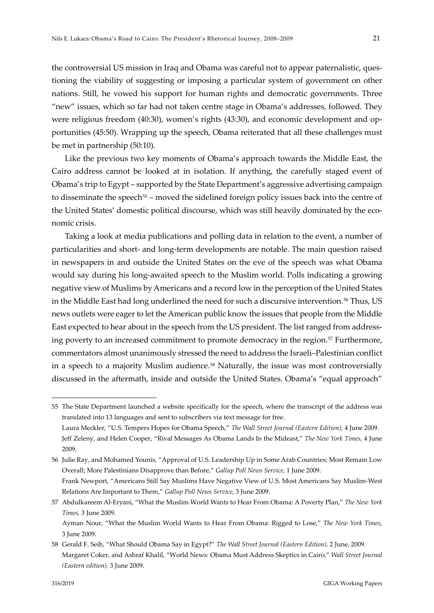the controversial US mission in Iraq and Obama was careful not to appear paternalistic, questioning the viability of suggesting or imposing a particular system of government on other nations. Still, he vowed his support for human rights and democratic governments. Three "new" issues, which so far had not taken centre stage in Obama's addresses, followed. They were religious freedom (40:30), women's rights (43:30), and economic development and opportunities (45:50). Wrapping up the speech, Obama reiterated that all these challenges must be met in partnership (50:10).

Like the previous two key moments of Obama's approach towards the Middle East, the Cairo address cannot be looked at in isolation. If anything, the carefully staged event of Obama's trip to Egypt – supported by the State Department's aggressive advertising campaign to disseminate the speech<sup>[55](#page-20-0)</sup> – moved the sidelined foreign policy issues back into the centre of the United States' domestic political discourse, which was still heavily dominated by the economic crisis.

Taking a look at media publications and polling data in relation to the event, a number of particularities and short- and long-term developments are notable. The main question raised in newspapers in and outside the United States on the eve of the speech was what Obama would say during his long-awaited speech to the Muslim world. Polls indicating a growing negative view of Muslims by Americans and a record low in the perception of the United States in the Middle East had long underlined the need for such a discursive intervention.[56](#page-20-1) Thus, US news outlets were eager to let the American public know the issues that people from the Middle East expected to hear about in the speech from the US president. The list ranged from address-ing poverty to an increased commitment to promote democracy in the region.<sup>[57](#page-20-2)</sup> Furthermore, commentators almost unanimously stressed the need to address the Israeli–Palestinian conflict in a speech to a majority Muslim audience.<sup>58</sup> Naturally, the issue was most controversially discussed in the aftermath, inside and outside the United States. Obama's "equal approach"

<span id="page-20-0"></span><sup>55</sup> The State Department launched a website specifically for the speech, where the transcript of the address was translated into 13 languages and sent to subscribers via text message for free. Laura Meckler, "U.S. Tempers Hopes for Obama Speech," *The Wall Street Journal (Eastern Edition),* 4 June 2009. Jeff Zeleny, and Helen Cooper, "Rival Messages As Obama Lands In the Mideast," *The New York Times,* 4 June 2009.

<span id="page-20-1"></span><sup>56</sup> Julie Ray, and Mohamed Younis, "Approval of U.S. Leadership Up in Some Arab Countries; Most Remain Low Overall; More Palestinians Disapprove than Before," *Gallup Poll News Service,* 1 June 2009. Frank Newport, "Americans Still Say Muslims Have Negative View of U.S. Most Americans Say Muslim-West Relations Are Important to Them," *Gallup Poll News Service*, 3 June 2009.

<span id="page-20-2"></span><sup>57</sup> Abdulkareem Al-Eryani, "What the Muslim World Wants to Hear From Obama: A Poverty Plan," *The New York Times,* 3 June 2009.

Ayman Nour, "What the Muslim World Wants to Hear From Obama: Rigged to Lose," *The New York Times*, 3 June 2009.

<span id="page-20-3"></span><sup>58</sup> Gerald F. Seib, "What Should Obama Say in Egypt?" *The Wall Street Journal (Eastern Edition),* 2 June, 2009. Margaret Coker, and Ashraf Khalil, "World News: Obama Must Address Skeptics in Cairo," *Wall Street Journal (Eastern edition),* 3 June 2009.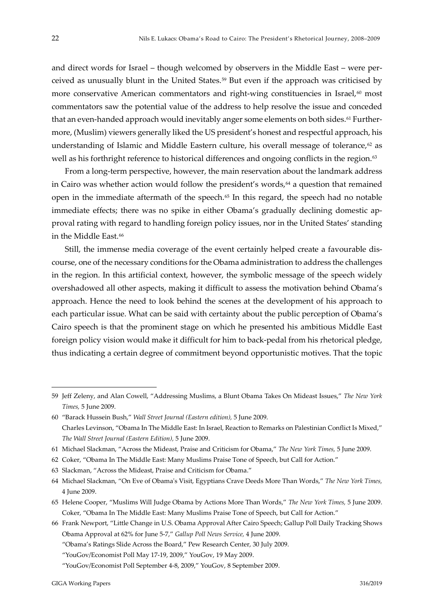and direct words for Israel – though welcomed by observers in the Middle East – were perceived as unusually blunt in the United States.[59](#page-21-0) But even if the approach was criticised by more conservative American commentators and right-wing constituencies in Israel, $60 \text{ most}$  $60 \text{ most}$ commentators saw the potential value of the address to help resolve the issue and conceded that an even-handed approach would inevitably anger some elements on both sides.<sup>[61](#page-21-2)</sup> Furthermore, (Muslim) viewers generally liked the US president's honest and respectful approach, his understanding of Islamic and Middle Eastern culture, his overall message of tolerance, $62$  as well as his forthright reference to historical differences and ongoing conflicts in the region.<sup>[63](#page-21-4)</sup>

From a long-term perspective, however, the main reservation about the landmark address in Cairo was whether action would follow the president's words,<sup>[64](#page-21-5)</sup> a question that remained open in the immediate aftermath of the speech.[65](#page-21-6) In this regard, the speech had no notable immediate effects; there was no spike in either Obama's gradually declining domestic approval rating with regard to handling foreign policy issues, nor in the United States' standing in the Middle East.<sup>[66](#page-21-7)</sup>

Still, the immense media coverage of the event certainly helped create a favourable discourse, one of the necessary conditions for the Obama administration to address the challenges in the region. In this artificial context, however, the symbolic message of the speech widely overshadowed all other aspects, making it difficult to assess the motivation behind Obama's approach. Hence the need to look behind the scenes at the development of his approach to each particular issue. What can be said with certainty about the public perception of Obama's Cairo speech is that the prominent stage on which he presented his ambitious Middle East foreign policy vision would make it difficult for him to back-pedal from his rhetorical pledge, thus indicating a certain degree of commitment beyond opportunistic motives. That the topic

<span id="page-21-4"></span>63 Slackman, "Across the Mideast, Praise and Criticism for Obama."

<span id="page-21-0"></span><sup>59</sup> Jeff Zeleny, and Alan Cowell, "Addressing Muslims, a Blunt Obama Takes On Mideast Issues," *The New York Times,* 5 June 2009.

<span id="page-21-1"></span><sup>60</sup> "Barack Hussein Bush," *Wall Street Journal (Eastern edition),* 5 June 2009. Charles Levinson, "Obama In The Middle East: In Israel, Reaction to Remarks on Palestinian Conflict Is Mixed," *The Wall Street Journal (Eastern Edition),* 5 June 2009.

<span id="page-21-2"></span><sup>61</sup> Michael Slackman, "Across the Mideast, Praise and Criticism for Obama," *The New York Times,* 5 June 2009.

<span id="page-21-3"></span><sup>62</sup> Coker, "Obama In The Middle East: Many Muslims Praise Tone of Speech, but Call for Action."

<span id="page-21-5"></span><sup>64</sup> Michael Slackman, "On Eve of Obama's Visit, Egyptians Crave Deeds More Than Words," *The New York Times,* 4 June 2009.

<span id="page-21-6"></span><sup>65</sup> Helene Cooper, "Muslims Will Judge Obama by Actions More Than Words," *The New York Times,* 5 June 2009. Coker, "Obama In The Middle East: Many Muslims Praise Tone of Speech, but Call for Action."

<span id="page-21-7"></span><sup>66</sup> Frank Newport, "Little Change in U.S. Obama Approval After Cairo Speech; Gallup Poll Daily Tracking Shows Obama Approval at 62% for June 5-7," *Gallup Poll News Service,* 4 June 2009.

<sup>&</sup>quot;Obama's Ratings Slide Across the Board," Pew Research Center, 30 July 2009.

<sup>&</sup>quot;YouGov/Economist Poll May 17-19, 2009," YouGov, 19 May 2009.

<sup>&</sup>quot;YouGov/Economist Poll September 4-8, 2009," YouGov, 8 September 2009.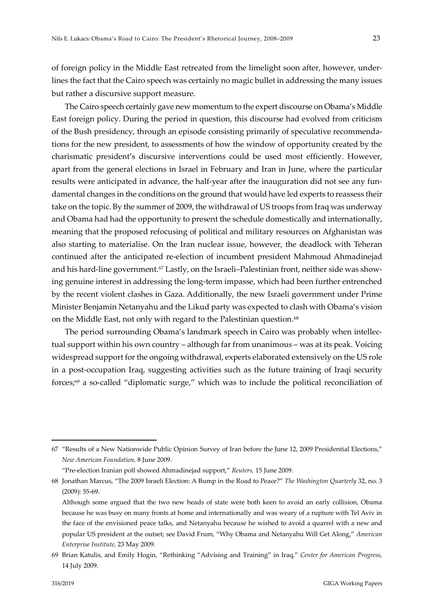of foreign policy in the Middle East retreated from the limelight soon after, however, underlines the fact that the Cairo speech was certainly no magic bullet in addressing the many issues but rather a discursive support measure.

The Cairo speech certainly gave new momentum to the expert discourse on Obama's Middle East foreign policy. During the period in question, this discourse had evolved from criticism of the Bush presidency, through an episode consisting primarily of speculative recommendations for the new president, to assessments of how the window of opportunity created by the charismatic president's discursive interventions could be used most efficiently. However, apart from the general elections in Israel in February and Iran in June, where the particular results were anticipated in advance, the half-year after the inauguration did not see any fundamental changes in the conditions on the ground that would have led experts to reassess their take on the topic. By the summer of 2009, the withdrawal of US troops from Iraq was underway and Obama had had the opportunity to present the schedule domestically and internationally, meaning that the proposed refocusing of political and military resources on Afghanistan was also starting to materialise. On the Iran nuclear issue, however, the deadlock with Teheran continued after the anticipated re-election of incumbent president Mahmoud Ahmadinejad and his hard-line government.<sup>[67](#page-22-0)</sup> Lastly, on the Israeli–Palestinian front, neither side was showing genuine interest in addressing the long-term impasse, which had been further entrenched by the recent violent clashes in Gaza. Additionally, the new Israeli government under Prime Minister Benjamin Netanyahu and the Likud party was expected to clash with Obama's vision on the Middle East, not only with regard to the Palestinian question.<sup>[68](#page-22-1)</sup>

The period surrounding Obama's landmark speech in Cairo was probably when intellectual support within his own country – although far from unanimous – was at its peak. Voicing widespread support for the ongoing withdrawal, experts elaborated extensively on the US role in a post-occupation Iraq, suggesting activities such as the future training of Iraqi security forces;[69](#page-22-2) a so-called "diplomatic surge," which was to include the political reconciliation of

<span id="page-22-0"></span><sup>67</sup> "Results of a New Nationwide Public Opinion Survey of Iran before the June 12, 2009 Presidential Elections," *New American Foundation,* 8 June 2009.

<sup>&</sup>quot;Pre-election Iranian poll showed Ahmadinejad support," *Reuters,* 15 June 2009.

<span id="page-22-1"></span><sup>68</sup> Jonathan Marcus, "The 2009 Israeli Election: A Bump in the Road to Peace?" *The Washington Quarterly* 32, no. 3 (2009): 55-69.

Although some argued that the two new heads of state were both keen to avoid an early collision, Obama because he was busy on many fronts at home and internationally and was weary of a rupture with Tel Aviv in the face of the envisioned peace talks, and Netanyahu because he wished to avoid a quarrel with a new and popular US president at the outset; see David Frum, "Why Obama and Netanyahu Will Get Along," *American Enterprise Institute,* 23 May 2009.

<span id="page-22-2"></span><sup>69</sup> Brian Katulis, and Emily Hogin, "Rethinking "Advising and Training" in Iraq," *Center for American Progress,* 14 July 2009.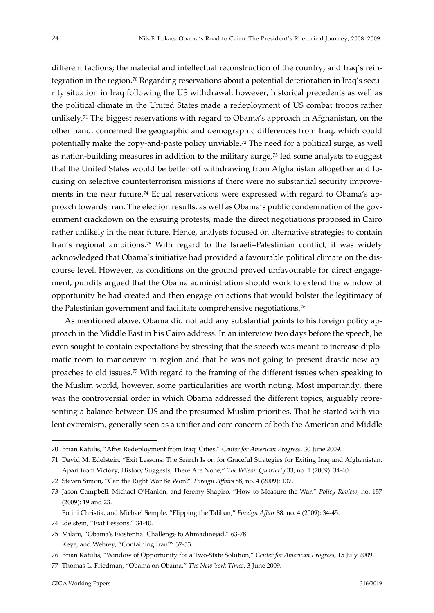different factions; the material and intellectual reconstruction of the country; and Iraq's reintegration in the region.[70](#page-23-0) Regarding reservations about a potential deterioration in Iraq's security situation in Iraq following the US withdrawal, however, historical precedents as well as the political climate in the United States made a redeployment of US combat troops rather unlikely.[71](#page-23-1) The biggest reservations with regard to Obama's approach in Afghanistan, on the other hand, concerned the geographic and demographic differences from Iraq, which could potentially make the copy-and-paste policy unviable.[72](#page-23-2) The need for a political surge, as well as nation-building measures in addition to the military surge,[73](#page-23-3) led some analysts to suggest that the United States would be better off withdrawing from Afghanistan altogether and focusing on selective counterterrorism missions if there were no substantial security improve-ments in the near future.<sup>[74](#page-23-4)</sup> Equal reservations were expressed with regard to Obama's approach towards Iran. The election results, as well as Obama's public condemnation of the government crackdown on the ensuing protests, made the direct negotiations proposed in Cairo rather unlikely in the near future. Hence, analysts focused on alternative strategies to contain Iran's regional ambitions.[75](#page-23-5) With regard to the Israeli–Palestinian conflict, it was widely acknowledged that Obama's initiative had provided a favourable political climate on the discourse level. However, as conditions on the ground proved unfavourable for direct engagement, pundits argued that the Obama administration should work to extend the window of opportunity he had created and then engage on actions that would bolster the legitimacy of the Palestinian government and facilitate comprehensive negotiations.[76](#page-23-6)

As mentioned above, Obama did not add any substantial points to his foreign policy approach in the Middle East in his Cairo address. In an interview two days before the speech, he even sought to contain expectations by stressing that the speech was meant to increase diplomatic room to manoeuvre in region and that he was not going to present drastic new approaches to old issues.[77](#page-23-7) With regard to the framing of the different issues when speaking to the Muslim world, however, some particularities are worth noting. Most importantly, there was the controversial order in which Obama addressed the different topics, arguably representing a balance between US and the presumed Muslim priorities. That he started with violent extremism, generally seen as a unifier and core concern of both the American and Middle

<span id="page-23-0"></span><sup>70</sup> Brian Katulis, "After Redeployment from Iraqi Cities," *Center for American Progress,* 30 June 2009.

<span id="page-23-1"></span><sup>71</sup> David M. Edelstein, "Exit Lessons: The Search Is on for Graceful Strategies for Exiting Iraq and Afghanistan. Apart from Victory, History Suggests, There Are None," *The Wilson Quarterly* 33, no. 1 (2009): 34-40.

<span id="page-23-2"></span><sup>72</sup> Steven Simon, "Can the Right War Be Won?" *Foreign Affairs* 88, no. 4 (2009): 137.

<span id="page-23-3"></span><sup>73</sup> Jason Campbell, Michael O'Hanlon, and Jeremy Shapiro, "How to Measure the War," *Policy Review*, no. 157 (2009): 19 and 23.

Fotini Christia, and Michael Semple, "Flipping the Taliban," *Foreign Affair* 88. no. 4 (2009): 34-45.

<span id="page-23-4"></span><sup>74</sup> Edelstein, "Exit Lessons," 34-40.

<span id="page-23-5"></span><sup>75</sup> Milani, "Obama's Existential Challenge to Ahmadinejad," 63-78. Keye, and Wehrey, "Containing Iran?" 37-53.

<span id="page-23-6"></span><sup>76</sup> Brian Katulis, "Window of Opportunity for a Two-State Solution," *Center for American Progress,* 15 July 2009.

<span id="page-23-7"></span><sup>77</sup> Thomas L. Friedman, "Obama on Obama," *The New York Times,* 3 June 2009.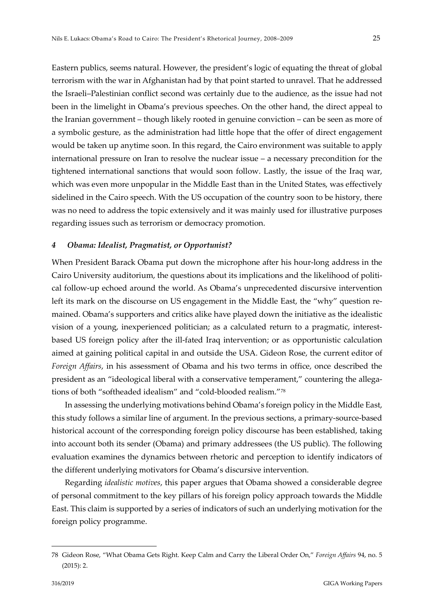Eastern publics, seems natural. However, the president's logic of equating the threat of global terrorism with the war in Afghanistan had by that point started to unravel. That he addressed the Israeli–Palestinian conflict second was certainly due to the audience, as the issue had not been in the limelight in Obama's previous speeches. On the other hand, the direct appeal to the Iranian government – though likely rooted in genuine conviction – can be seen as more of a symbolic gesture, as the administration had little hope that the offer of direct engagement would be taken up anytime soon. In this regard, the Cairo environment was suitable to apply international pressure on Iran to resolve the nuclear issue – a necessary precondition for the tightened international sanctions that would soon follow. Lastly, the issue of the Iraq war, which was even more unpopular in the Middle East than in the United States, was effectively sidelined in the Cairo speech. With the US occupation of the country soon to be history, there was no need to address the topic extensively and it was mainly used for illustrative purposes regarding issues such as terrorism or democracy promotion.

### <span id="page-24-0"></span>*4 Obama: Idealist, Pragmatist, or Opportunist?*

When President Barack Obama put down the microphone after his hour-long address in the Cairo University auditorium, the questions about its implications and the likelihood of political follow-up echoed around the world. As Obama's unprecedented discursive intervention left its mark on the discourse on US engagement in the Middle East, the "why" question remained. Obama's supporters and critics alike have played down the initiative as the idealistic vision of a young, inexperienced politician; as a calculated return to a pragmatic, interestbased US foreign policy after the ill-fated Iraq intervention; or as opportunistic calculation aimed at gaining political capital in and outside the USA. Gideon Rose, the current editor of *Foreign Affairs*, in his assessment of Obama and his two terms in office, once described the president as an "ideological liberal with a conservative temperament," countering the allegations of both "softheaded idealism" and "cold-blooded realism."[78](#page-24-1)

In assessing the underlying motivations behind Obama's foreign policy in the Middle East, this study follows a similar line of argument. In the previous sections, a primary-source-based historical account of the corresponding foreign policy discourse has been established, taking into account both its sender (Obama) and primary addressees (the US public). The following evaluation examines the dynamics between rhetoric and perception to identify indicators of the different underlying motivators for Obama's discursive intervention.

Regarding *idealistic motives*, this paper argues that Obama showed a considerable degree of personal commitment to the key pillars of his foreign policy approach towards the Middle East. This claim is supported by a series of indicators of such an underlying motivation for the foreign policy programme.

<span id="page-24-1"></span><sup>78</sup> Gideon Rose, "What Obama Gets Right. Keep Calm and Carry the Liberal Order On," *Foreign Affairs* 94, no. 5 (2015): 2.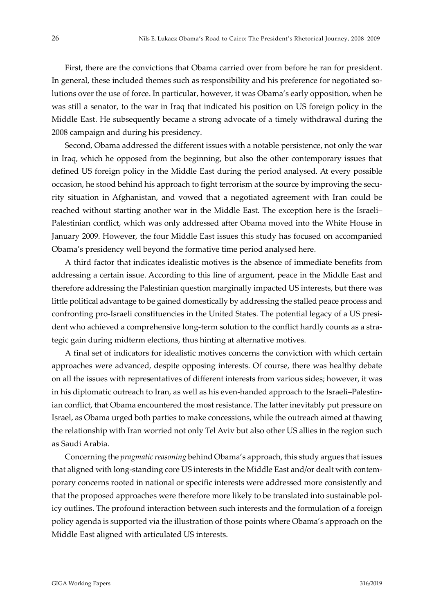First, there are the convictions that Obama carried over from before he ran for president. In general, these included themes such as responsibility and his preference for negotiated solutions over the use of force. In particular, however, it was Obama's early opposition, when he was still a senator, to the war in Iraq that indicated his position on US foreign policy in the Middle East. He subsequently became a strong advocate of a timely withdrawal during the 2008 campaign and during his presidency.

Second, Obama addressed the different issues with a notable persistence, not only the war in Iraq, which he opposed from the beginning, but also the other contemporary issues that defined US foreign policy in the Middle East during the period analysed. At every possible occasion, he stood behind his approach to fight terrorism at the source by improving the security situation in Afghanistan, and vowed that a negotiated agreement with Iran could be reached without starting another war in the Middle East. The exception here is the Israeli– Palestinian conflict, which was only addressed after Obama moved into the White House in January 2009. However, the four Middle East issues this study has focused on accompanied Obama's presidency well beyond the formative time period analysed here.

A third factor that indicates idealistic motives is the absence of immediate benefits from addressing a certain issue. According to this line of argument, peace in the Middle East and therefore addressing the Palestinian question marginally impacted US interests, but there was little political advantage to be gained domestically by addressing the stalled peace process and confronting pro-Israeli constituencies in the United States. The potential legacy of a US president who achieved a comprehensive long-term solution to the conflict hardly counts as a strategic gain during midterm elections, thus hinting at alternative motives.

A final set of indicators for idealistic motives concerns the conviction with which certain approaches were advanced, despite opposing interests. Of course, there was healthy debate on all the issues with representatives of different interests from various sides; however, it was in his diplomatic outreach to Iran, as well as his even-handed approach to the Israeli–Palestinian conflict, that Obama encountered the most resistance. The latter inevitably put pressure on Israel, as Obama urged both parties to make concessions, while the outreach aimed at thawing the relationship with Iran worried not only Tel Aviv but also other US allies in the region such as Saudi Arabia.

Concerning the *pragmatic reasoning* behind Obama's approach, this study argues that issues that aligned with long-standing core US interests in the Middle East and/or dealt with contemporary concerns rooted in national or specific interests were addressed more consistently and that the proposed approaches were therefore more likely to be translated into sustainable policy outlines. The profound interaction between such interests and the formulation of a foreign policy agenda is supported via the illustration of those points where Obama's approach on the Middle East aligned with articulated US interests.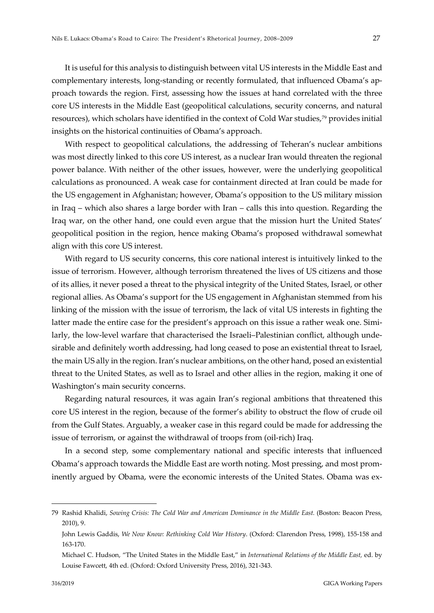It is useful for this analysis to distinguish between vital US interests in the Middle East and complementary interests, long-standing or recently formulated, that influenced Obama's approach towards the region. First, assessing how the issues at hand correlated with the three core US interests in the Middle East (geopolitical calculations, security concerns, and natural resources), which scholars have identified in the context of Cold War studies,[79](#page-26-0) provides initial insights on the historical continuities of Obama's approach.

With respect to geopolitical calculations, the addressing of Teheran's nuclear ambitions was most directly linked to this core US interest, as a nuclear Iran would threaten the regional power balance. With neither of the other issues, however, were the underlying geopolitical calculations as pronounced. A weak case for containment directed at Iran could be made for the US engagement in Afghanistan; however, Obama's opposition to the US military mission in Iraq – which also shares a large border with Iran – calls this into question. Regarding the Iraq war, on the other hand, one could even argue that the mission hurt the United States' geopolitical position in the region, hence making Obama's proposed withdrawal somewhat align with this core US interest.

With regard to US security concerns, this core national interest is intuitively linked to the issue of terrorism. However, although terrorism threatened the lives of US citizens and those of its allies, it never posed a threat to the physical integrity of the United States, Israel, or other regional allies. As Obama's support for the US engagement in Afghanistan stemmed from his linking of the mission with the issue of terrorism, the lack of vital US interests in fighting the latter made the entire case for the president's approach on this issue a rather weak one. Similarly, the low-level warfare that characterised the Israeli–Palestinian conflict, although undesirable and definitely worth addressing, had long ceased to pose an existential threat to Israel, the main US ally in the region. Iran's nuclear ambitions, on the other hand, posed an existential threat to the United States, as well as to Israel and other allies in the region, making it one of Washington's main security concerns.

Regarding natural resources, it was again Iran's regional ambitions that threatened this core US interest in the region, because of the former's ability to obstruct the flow of crude oil from the Gulf States. Arguably, a weaker case in this regard could be made for addressing the issue of terrorism, or against the withdrawal of troops from (oil-rich) Iraq.

In a second step, some complementary national and specific interests that influenced Obama's approach towards the Middle East are worth noting. Most pressing, and most prominently argued by Obama, were the economic interests of the United States. Obama was ex-

<span id="page-26-0"></span><sup>79</sup> Rashid Khalidi, *Sowing Crisis: The Cold War and American Dominance in the Middle East.* (Boston: Beacon Press, 2010), 9.

John Lewis Gaddis, *We Now Know: Rethinking Cold War History*. (Oxford: Clarendon Press, 1998), 155-158 and 163-170.

Michael C. Hudson, "The United States in the Middle East," in *International Relations of the Middle East,* ed. by Louise Fawcett, 4th ed. (Oxford: Oxford University Press, 2016), 321-343.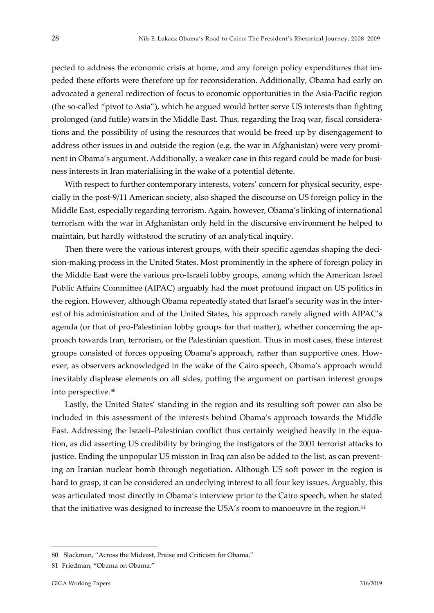pected to address the economic crisis at home, and any foreign policy expenditures that impeded these efforts were therefore up for reconsideration. Additionally, Obama had early on advocated a general redirection of focus to economic opportunities in the Asia-Pacific region (the so-called "pivot to Asia"), which he argued would better serve US interests than fighting prolonged (and futile) wars in the Middle East. Thus, regarding the Iraq war, fiscal considerations and the possibility of using the resources that would be freed up by disengagement to address other issues in and outside the region (e.g. the war in Afghanistan) were very prominent in Obama's argument. Additionally, a weaker case in this regard could be made for business interests in Iran materialising in the wake of a potential détente.

With respect to further contemporary interests, voters' concern for physical security, especially in the post-9/11 American society, also shaped the discourse on US foreign policy in the Middle East, especially regarding terrorism. Again, however, Obama's linking of international terrorism with the war in Afghanistan only held in the discursive environment he helped to maintain, but hardly withstood the scrutiny of an analytical inquiry.

Then there were the various interest groups, with their specific agendas shaping the decision-making process in the United States. Most prominently in the sphere of foreign policy in the Middle East were the various pro-Israeli lobby groups, among which the American Israel Public Affairs Committee (AIPAC) arguably had the most profound impact on US politics in the region. However, although Obama repeatedly stated that Israel's security was in the interest of his administration and of the United States, his approach rarely aligned with AIPAC's agenda (or that of pro-Palestinian lobby groups for that matter), whether concerning the approach towards Iran, terrorism, or the Palestinian question. Thus in most cases, these interest groups consisted of forces opposing Obama's approach, rather than supportive ones. However, as observers acknowledged in the wake of the Cairo speech, Obama's approach would inevitably displease elements on all sides, putting the argument on partisan interest groups into perspective.[80](#page-27-0)

Lastly, the United States' standing in the region and its resulting soft power can also be included in this assessment of the interests behind Obama's approach towards the Middle East. Addressing the Israeli–Palestinian conflict thus certainly weighed heavily in the equation, as did asserting US credibility by bringing the instigators of the 2001 terrorist attacks to justice. Ending the unpopular US mission in Iraq can also be added to the list, as can preventing an Iranian nuclear bomb through negotiation. Although US soft power in the region is hard to grasp, it can be considered an underlying interest to all four key issues. Arguably, this was articulated most directly in Obama's interview prior to the Cairo speech, when he stated that the initiative was designed to increase the USA's room to manoeuvre in the region.<sup>[81](#page-27-1)</sup>

<span id="page-27-0"></span><sup>80</sup> Slackman, "Across the Mideast, Praise and Criticism for Obama."

<span id="page-27-1"></span><sup>81</sup> Friedman, "Obama on Obama."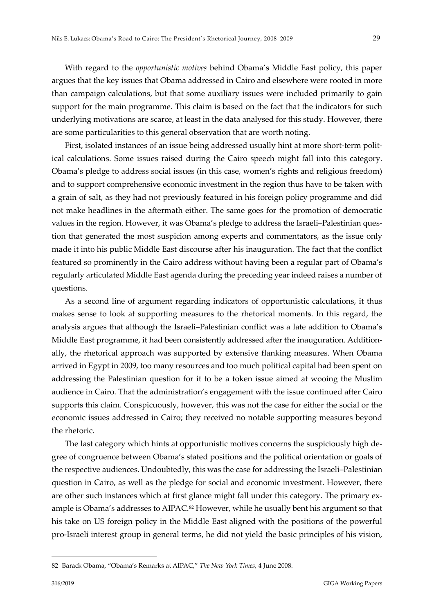With regard to the *opportunistic motives* behind Obama's Middle East policy, this paper argues that the key issues that Obama addressed in Cairo and elsewhere were rooted in more than campaign calculations, but that some auxiliary issues were included primarily to gain support for the main programme. This claim is based on the fact that the indicators for such underlying motivations are scarce, at least in the data analysed for this study. However, there are some particularities to this general observation that are worth noting.

First, isolated instances of an issue being addressed usually hint at more short-term political calculations. Some issues raised during the Cairo speech might fall into this category. Obama's pledge to address social issues (in this case, women's rights and religious freedom) and to support comprehensive economic investment in the region thus have to be taken with a grain of salt, as they had not previously featured in his foreign policy programme and did not make headlines in the aftermath either. The same goes for the promotion of democratic values in the region. However, it was Obama's pledge to address the Israeli–Palestinian question that generated the most suspicion among experts and commentators, as the issue only made it into his public Middle East discourse after his inauguration. The fact that the conflict featured so prominently in the Cairo address without having been a regular part of Obama's regularly articulated Middle East agenda during the preceding year indeed raises a number of questions.

As a second line of argument regarding indicators of opportunistic calculations, it thus makes sense to look at supporting measures to the rhetorical moments. In this regard, the analysis argues that although the Israeli–Palestinian conflict was a late addition to Obama's Middle East programme, it had been consistently addressed after the inauguration. Additionally, the rhetorical approach was supported by extensive flanking measures. When Obama arrived in Egypt in 2009, too many resources and too much political capital had been spent on addressing the Palestinian question for it to be a token issue aimed at wooing the Muslim audience in Cairo. That the administration's engagement with the issue continued after Cairo supports this claim. Conspicuously, however, this was not the case for either the social or the economic issues addressed in Cairo; they received no notable supporting measures beyond the rhetoric.

The last category which hints at opportunistic motives concerns the suspiciously high degree of congruence between Obama's stated positions and the political orientation or goals of the respective audiences. Undoubtedly, this was the case for addressing the Israeli–Palestinian question in Cairo, as well as the pledge for social and economic investment. However, there are other such instances which at first glance might fall under this category. The primary ex-ample is Obama's addresses to AIPAC.<sup>[82](#page-28-0)</sup> However, while he usually bent his argument so that his take on US foreign policy in the Middle East aligned with the positions of the powerful pro-Israeli interest group in general terms, he did not yield the basic principles of his vision,

<span id="page-28-0"></span><sup>82</sup> Barack Obama, "Obama's Remarks at AIPAC," *The New York Times*, 4 June 2008.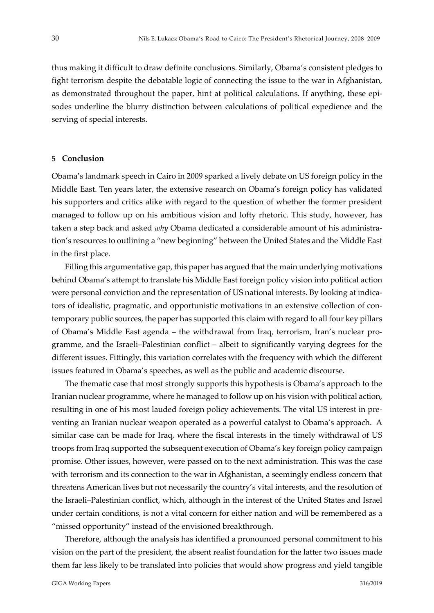thus making it difficult to draw definite conclusions. Similarly, Obama's consistent pledges to fight terrorism despite the debatable logic of connecting the issue to the war in Afghanistan, as demonstrated throughout the paper, hint at political calculations. If anything, these episodes underline the blurry distinction between calculations of political expedience and the serving of special interests.

#### <span id="page-29-0"></span>**5 Conclusion**

Obama's landmark speech in Cairo in 2009 sparked a lively debate on US foreign policy in the Middle East. Ten years later, the extensive research on Obama's foreign policy has validated his supporters and critics alike with regard to the question of whether the former president managed to follow up on his ambitious vision and lofty rhetoric. This study, however, has taken a step back and asked *why* Obama dedicated a considerable amount of his administration's resources to outlining a "new beginning" between the United States and the Middle East in the first place.

Filling this argumentative gap, this paper has argued that the main underlying motivations behind Obama's attempt to translate his Middle East foreign policy vision into political action were personal conviction and the representation of US national interests. By looking at indicators of idealistic, pragmatic, and opportunistic motivations in an extensive collection of contemporary public sources, the paper has supported this claim with regard to all four key pillars of Obama's Middle East agenda – the withdrawal from Iraq, terrorism, Iran's nuclear programme, and the Israeli–Palestinian conflict – albeit to significantly varying degrees for the different issues. Fittingly, this variation correlates with the frequency with which the different issues featured in Obama's speeches, as well as the public and academic discourse.

The thematic case that most strongly supports this hypothesis is Obama's approach to the Iranian nuclear programme, where he managed to follow up on his vision with political action, resulting in one of his most lauded foreign policy achievements. The vital US interest in preventing an Iranian nuclear weapon operated as a powerful catalyst to Obama's approach. A similar case can be made for Iraq, where the fiscal interests in the timely withdrawal of US troops from Iraq supported the subsequent execution of Obama's key foreign policy campaign promise. Other issues, however, were passed on to the next administration. This was the case with terrorism and its connection to the war in Afghanistan, a seemingly endless concern that threatens American lives but not necessarily the country's vital interests, and the resolution of the Israeli–Palestinian conflict, which, although in the interest of the United States and Israel under certain conditions, is not a vital concern for either nation and will be remembered as a "missed opportunity" instead of the envisioned breakthrough.

Therefore, although the analysis has identified a pronounced personal commitment to his vision on the part of the president, the absent realist foundation for the latter two issues made them far less likely to be translated into policies that would show progress and yield tangible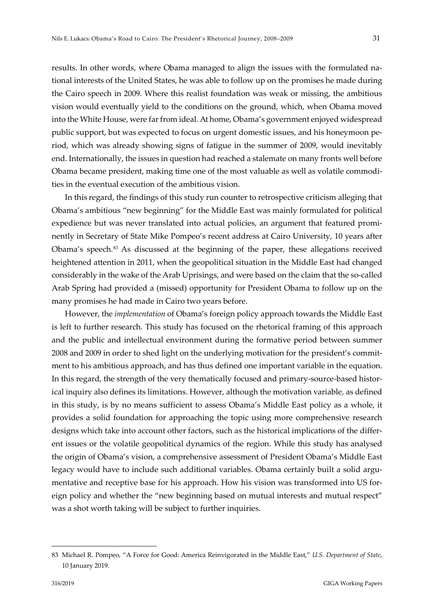results. In other words, where Obama managed to align the issues with the formulated national interests of the United States, he was able to follow up on the promises he made during the Cairo speech in 2009. Where this realist foundation was weak or missing, the ambitious vision would eventually yield to the conditions on the ground, which, when Obama moved into the White House, were far from ideal. At home, Obama's government enjoyed widespread public support, but was expected to focus on urgent domestic issues, and his honeymoon period, which was already showing signs of fatigue in the summer of 2009, would inevitably end. Internationally, the issues in question had reached a stalemate on many fronts well before Obama became president, making time one of the most valuable as well as volatile commodities in the eventual execution of the ambitious vision.

In this regard, the findings of this study run counter to retrospective criticism alleging that Obama's ambitious "new beginning" for the Middle East was mainly formulated for political expedience but was never translated into actual policies, an argument that featured prominently in Secretary of State Mike Pompeo's recent address at Cairo University, 10 years after Obama's speech.[83](#page-30-0) As discussed at the beginning of the paper, these allegations received heightened attention in 2011, when the geopolitical situation in the Middle East had changed considerably in the wake of the Arab Uprisings, and were based on the claim that the so-called Arab Spring had provided a (missed) opportunity for President Obama to follow up on the many promises he had made in Cairo two years before.

However, the *implementation* of Obama's foreign policy approach towards the Middle East is left to further research. This study has focused on the rhetorical framing of this approach and the public and intellectual environment during the formative period between summer 2008 and 2009 in order to shed light on the underlying motivation for the president's commitment to his ambitious approach, and has thus defined one important variable in the equation. In this regard, the strength of the very thematically focused and primary-source-based historical inquiry also defines its limitations. However, although the motivation variable, as defined in this study, is by no means sufficient to assess Obama's Middle East policy as a whole, it provides a solid foundation for approaching the topic using more comprehensive research designs which take into account other factors, such as the historical implications of the different issues or the volatile geopolitical dynamics of the region. While this study has analysed the origin of Obama's vision, a comprehensive assessment of President Obama's Middle East legacy would have to include such additional variables. Obama certainly built a solid argumentative and receptive base for his approach. How his vision was transformed into US foreign policy and whether the "new beginning based on mutual interests and mutual respect" was a shot worth taking will be subject to further inquiries.

<span id="page-30-0"></span><sup>83</sup> Michael R. Pompeo, "A Force for Good: America Reinvigorated in the Middle East," *U.S. Department of State*, 10 January 2019.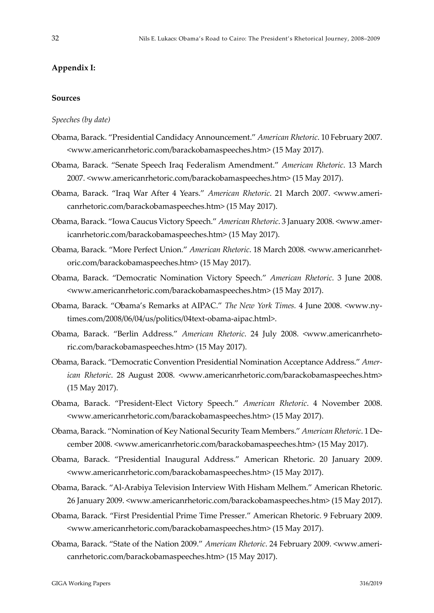#### <span id="page-31-0"></span>**Appendix I:**

#### **Sources**

*Speeches (by date)*

- Obama, Barack. ["Presidential Candidacy Announcement.](https://www.americanrhetoric.com/speeches/barackobamacandidacyforpresident.htm)" *American Rhetoric*. 10 February 2007. <www.americanrhetoric.com/barackobamaspeeches.htm> (15 May 2017).
- Obama, Barack. "Senate Speech Iraq Federalism Amendment." *American Rhetoric*. 13 March 2007. <www.americanrhetoric.com/barackobamaspeeches.htm> (15 May 2017).
- Obama, Barack. "Iraq War After 4 Years." *American Rhetoric*. 21 March 2007. <www.americanrhetoric.com/barackobamaspeeches.htm> (15 May 2017).

Obama, Barack. "Iowa Caucus Victory Speech." *American Rhetoric*. 3 January 2008. <www.americanrhetoric.com/barackobamaspeeches.htm> (15 May 2017).

- Obama, Barack. "More Perfect Union." *American Rhetoric*. 18 March 2008. <www.americanrhetoric.com/barackobamaspeeches.htm> (15 May 2017).
- Obama, Barack. "Democratic Nomination Victory Speech." *American Rhetoric*. 3 June 2008. <www.americanrhetoric.com/barackobamaspeeches.htm> (15 May 2017).
- Obama, Barack. "Obama's Remarks at AIPAC." *The New York Times.* 4 June 2008. <www.nytimes.com/2008/06/04/us/politics/04text-obama-aipac.html>.
- Obama, Barack. "Berlin Address." *American Rhetoric*. 24 July 2008. <www.americanrhetoric.com/barackobamaspeeches.htm> (15 May 2017).
- Obama, Barack. "Democratic Convention Presidential Nomination Acceptance Address." *American Rhetoric*. 28 August 2008. <www.americanrhetoric.com/barackobamaspeeches.htm> (15 May 2017).
- Obama, Barack. "President-Elect Victory Speech." *American Rhetoric*. 4 November 2008. <www.americanrhetoric.com/barackobamaspeeches.htm> (15 May 2017).
- Obama, Barack. "Nomination of Key National Security Team Members." *American Rhetoric*. 1 December 2008. <www.americanrhetoric.com/barackobamaspeeches.htm> (15 May 2017).
- Obama, Barack. "Presidential Inaugural Address." American Rhetoric. 20 January 2009. <www.americanrhetoric.com/barackobamaspeeches.htm> (15 May 2017).
- Obama, Barack. "Al-Arabiya Television Interview With Hisham Melhem." American Rhetoric. 26 January 2009. <www.americanrhetoric.com/barackobamaspeeches.htm> (15 May 2017).
- Obama, Barack. "First Presidential Prime Time Presser." American Rhetoric. 9 February 2009. <www.americanrhetoric.com/barackobamaspeeches.htm> (15 May 2017).
- Obama, Barack. "State of the Nation 2009." *American Rhetoric*. 24 February 2009. <www.americanrhetoric.com/barackobamaspeeches.htm> (15 May 2017).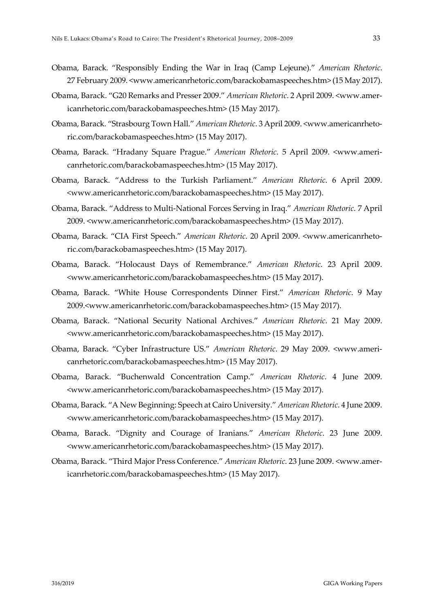- Obama, Barack. "Responsibly Ending the War in Iraq (Camp Lejeune)." *American Rhetoric*. 27 February 2009. <www.americanrhetoric.com/barackobamaspeeches.htm> (15 May 2017).
- Obama, Barack. "G20 Remarks and Presser 2009." *American Rhetoric*. 2 April 2009. <www.americanrhetoric.com/barackobamaspeeches.htm> (15 May 2017).
- Obama, Barack. "Strasbourg Town Hall." *American Rhetoric*. 3 April 2009. <www.americanrhetoric.com/barackobamaspeeches.htm> (15 May 2017).
- Obama, Barack. "Hradany Square Prague." *American Rhetoric*. 5 April 2009. <www.americanrhetoric.com/barackobamaspeeches.htm> (15 May 2017).
- Obama, Barack. "Address to the Turkish Parliament." *American Rhetoric*. 6 April 2009. <www.americanrhetoric.com/barackobamaspeeches.htm> (15 May 2017).
- Obama, Barack. "Address to Multi-National Forces Serving in Iraq." *American Rhetoric*. 7 April 2009. <www.americanrhetoric.com/barackobamaspeeches.htm> (15 May 2017).
- Obama, Barack. "CIA First Speech." *American Rhetoric*. 20 April 2009. <www.americanrhetoric.com/barackobamaspeeches.htm> (15 May 2017).
- Obama, Barack. "Holocaust Days of Remembrance." *American Rhetoric*. 23 April 2009. <www.americanrhetoric.com/barackobamaspeeches.htm> (15 May 2017).
- Obama, Barack. "White House Correspondents Dinner First." *American Rhetoric*. 9 May 2009.<www.americanrhetoric.com/barackobamaspeeches.htm> (15 May 2017).
- Obama, Barack. "National Security National Archives." *American Rhetoric*. 21 May 2009. <www.americanrhetoric.com/barackobamaspeeches.htm> (15 May 2017).
- Obama, Barack. "Cyber Infrastructure US." *American Rhetoric*. 29 May 2009. <www.americanrhetoric.com/barackobamaspeeches.htm> (15 May 2017).
- Obama, Barack. "Buchenwald Concentration Camp." *American Rhetoric*. 4 June 2009. <www.americanrhetoric.com/barackobamaspeeches.htm> (15 May 2017).
- Obama, Barack. "A New Beginning: Speech at Cairo University." *American Rhetoric*. 4 June 2009. <www.americanrhetoric.com/barackobamaspeeches.htm> (15 May 2017).
- Obama, Barack. "Dignity and Courage of Iranians." *American Rhetoric*. 23 June 2009. <www.americanrhetoric.com/barackobamaspeeches.htm> (15 May 2017).
- Obama, Barack. "Third Major Press Conference." *American Rhetoric*. 23 June 2009. <www.americanrhetoric.com/barackobamaspeeches.htm> (15 May 2017).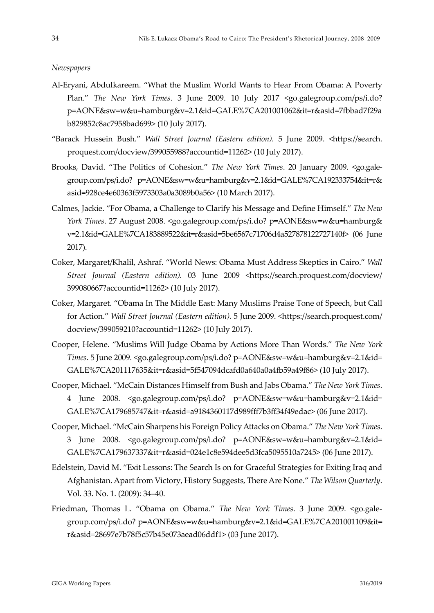#### *Newspapers*

- Al-Eryani, Abdulkareem. "What the Muslim World Wants to Hear From Obama: A Poverty Plan." *The New York Times*. 3 June 2009. 10 July 2017 <go.galegroup.com/ps/i.do? p=AONE&sw=w&u=hamburg&v=2.1&id=GALE%7CA201001062&it=r&asid=7fbbad7f29a b829852c8ac7958bad699> (10 July 2017).
- "Barack Hussein Bush." *Wall Street Journal (Eastern edition).* 5 June 2009. <https://search. proquest.com/docview/399055988?accountid=11262> (10 July 2017).
- Brooks, David. "The Politics of Cohesion." *The New York Times*. 20 January 2009. <go.galegroup.com/ps/i.do? p=AONE&sw=w&u=hamburg&v=2.1&id=GALE%7CA192333754&it=r& asid=928ce4e60363f5973303a0a3089b0a56> (10 March 2017).
- Calmes, Jackie. "For Obama, a Challenge to Clarify his Message and Define Himself." *The New York Times*. 27 August 2008. <go.galegroup.com/ps/i.do? p=AONE&sw=w&u=hamburg& v=2.1&id=GALE%7CA183889522&it=r&asid=5be6567c71706d4a527878122727140f> (06 June 2017).
- Coker, Margaret/Khalil, Ashraf. "World News: Obama Must Address Skeptics in Cairo." *Wall Street Journal (Eastern edition).* 03 June 2009 <https://search.proquest.com/docview/ 399080667?accountid=11262> (10 July 2017).
- Coker, Margaret. "Obama In The Middle East: Many Muslims Praise Tone of Speech, but Call for Action." *Wall Street Journal (Eastern edition).* 5 June 2009. <https://search.proquest.com/ docview/399059210?accountid=11262> (10 July 2017).
- Cooper, Helene. "Muslims Will Judge Obama by Actions More Than Words." *The New York Times*. 5 June 2009. <go.galegroup.com/ps/i.do? p=AONE&sw=w&u=hamburg&v=2.1&id= GALE%7CA201117635&it=r&asid=5f547094dcafd0a640a0a4fb59a49f86> (10 July 2017).
- Cooper, Michael. "McCain Distances Himself from Bush and Jabs Obama." *The New York Times*. 4 June 2008. <go.galegroup.com/ps/i.do? p=AONE&sw=w&u=hamburg&v=2.1&id= GALE%7CA179685747&it=r&asid=a9184360117d989fff7b3ff34f49edac> (06 June 2017).
- Cooper, Michael. "McCain Sharpens his Foreign Policy Attacks on Obama." *The New York Times*. 3 June 2008. <go.galegroup.com/ps/i.do? p=AONE&sw=w&u=hamburg&v=2.1&id= GALE%7CA179637337&it=r&asid=024e1c8e594dee5d3fca5095510a7245> (06 June 2017).
- Edelstein, David M. "Exit Lessons: The Search Is on for Graceful Strategies for Exiting Iraq and Afghanistan. Apart from Victory, History Suggests, There Are None." *The Wilson Quarterly*. Vol. 33. No. 1. (2009): 34–40.
- Friedman, Thomas L. "Obama on Obama." *The New York Times*. 3 June 2009. <go.galegroup.com/ps/i.do? p=AONE&sw=w&u=hamburg&v=2.1&id=GALE%7CA201001109&it= r&asid=28697e7b78f5c57b45e073aead06ddf1> (03 June 2017).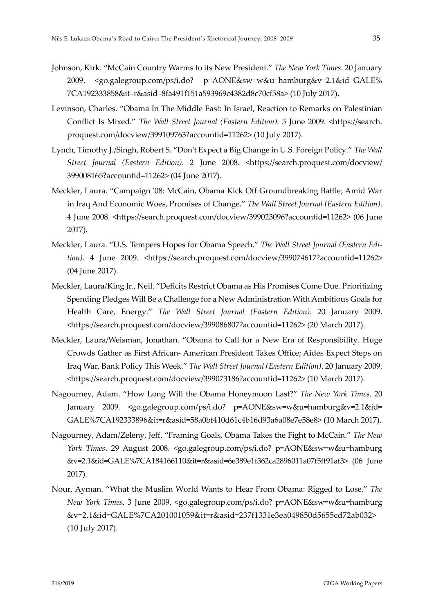- Johnson, Kirk. "McCain Country Warms to its New President." *The New York Times*. 20 January 2009. <go.galegroup.com/ps/i.do? p=AONE&sw=w&u=hamburg&v=2.1&id=GALE% 7CA192333858&it=r&asid=8fa491f151a593969c4382d8c70cf58a> (10 July 2017).
- Levinson, Charles. "Obama In The Middle East: In Israel, Reaction to Remarks on Palestinian Conflict Is Mixed." *The Wall Street Journal (Eastern Edition).* 5 June 2009. <https://search. proquest.com/docview/399109763?accountid=11262> (10 July 2017).
- Lynch, Timothy J./Singh, Robert S. "Don't Expect a Big Change in U.S. Foreign Policy." *The Wall Street Journal (Eastern Edition)*. 2 June 2008. <https://search.proquest.com/docview/ 399008165?accountid=11262> (04 June 2017).
- Meckler, Laura. "Campaign '08: McCain, Obama Kick Off Groundbreaking Battle; Amid War in Iraq And Economic Woes, Promises of Change." *The Wall Street Journal (Eastern Edition)*. 4 June 2008. <https://search.proquest.com/docview/399023096?accountid=11262> (06 June 2017).
- Meckler, Laura. "U.S. Tempers Hopes for Obama Speech." *The Wall Street Journal (Eastern Edition)*. 4 June 2009. <https://search.proquest.com/docview/399074617?accountid=11262> (04 June 2017).
- Meckler, Laura/King Jr., Neil. "Deficits Restrict Obama as His Promises Come Due. Prioritizing Spending Pledges Will Be a Challenge for a New Administration With Ambitious Goals for Health Care, Energy." *The Wall Street Journal (Eastern Edition)*. 20 January 2009. <https://search.proquest.com/docview/399086807?accountid=11262> (20 March 2017).
- Meckler, Laura/Weisman, Jonathan. "Obama to Call for a New Era of Responsibility. Huge Crowds Gather as First African- American President Takes Office; Aides Expect Steps on Iraq War, Bank Policy This Week." *The Wall Street Journal (Eastern Edition)*. 20 January 2009. <https://search.proquest.com/docview/399073186?accountid=11262> (10 March 2017).
- Nagourney, Adam. "How Long Will the Obama Honeymoon Last?" *The New York Times*. 20 January 2009. <go.galegroup.com/ps/i.do? p=AONE&sw=w&u=hamburg&v=2.1&id= GALE%7CA192333896&it=r&asid=58a0bf410d61c4b16d93a6a08e7e58e8> (10 March 2017).
- Nagourney, Adam/Zeleny, Jeff. "Framing Goals, Obama Takes the Fight to McCain." *The New York Times*. 29 August 2008. <go.galegroup.com/ps/i.do? p=AONE&sw=w&u=hamburg &v=2.1&id=GALE%7CA184166110&it=r&asid=6e389e1f362ca2896011a07f5ff91af3> (06 June 2017).
- Nour, Ayman. "What the Muslim World Wants to Hear From Obama: Rigged to Lose." *The New York Times*. 3 June 2009. <go.galegroup.com/ps/i.do? p=AONE&sw=w&u=hamburg &v=2.1&id=GALE%7CA201001059&it=r&asid=237f1331e3ea049850d5655cd72ab032> (10 July 2017).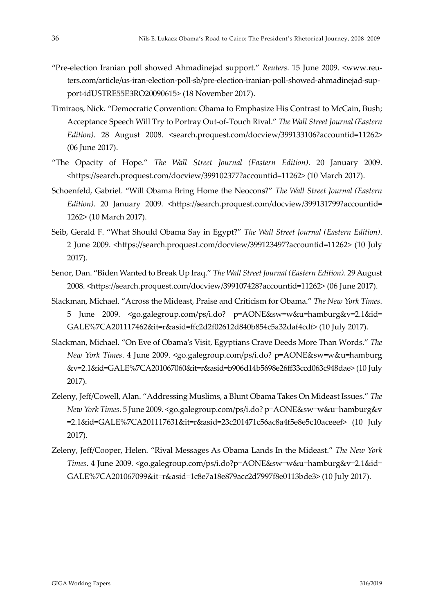- "Pre-election Iranian poll showed Ahmadinejad support." *Reuters*. 15 June 2009. <www.reuters.com/article/us-iran-election-poll-sb/pre-election-iranian-poll-showed-ahmadinejad-support-idUSTRE55E3RO20090615> (18 November 2017).
- Timiraos, Nick. "Democratic Convention: Obama to Emphasize His Contrast to McCain, Bush; Acceptance Speech Will Try to Portray Out-of-Touch Rival." *The Wall Street Journal (Eastern Edition)*. 28 August 2008. <search.proquest.com/docview/399133106?accountid=11262> (06 June 2017).
- "The Opacity of Hope." *The Wall Street Journal (Eastern Edition)*. 20 January 2009. <https://search.proquest.com/docview/399102377?accountid=11262> (10 March 2017).
- Schoenfeld, Gabriel. "Will Obama Bring Home the Neocons?" *The Wall Street Journal (Eastern Edition*). 20 January 2009. <https://search.proquest.com/docview/399131799?accountid= 1262> (10 March 2017).
- Seib, Gerald F. "What Should Obama Say in Egypt?" *The Wall Street Journal (Eastern Edition)*. 2 June 2009. <https://search.proquest.com/docview/399123497?accountid=11262> (10 July 2017).
- Senor, Dan. "Biden Wanted to Break Up Iraq." *The Wall Street Journal (Eastern Edition)*. 29 August 2008. <https://search.proquest.com/docview/399107428?accountid=11262> (06 June 2017).
- Slackman, Michael. "Across the Mideast, Praise and Criticism for Obama." *The New York Times*. 5 June 2009. <go.galegroup.com/ps/i.do? p=AONE&sw=w&u=hamburg&v=2.1&id= GALE%7CA201117462&it=r&asid=ffc2d2f02612d840b854c5a32daf4cdf> (10 July 2017).
- Slackman, Michael. "On Eve of Obama's Visit, Egyptians Crave Deeds More Than Words." *The New York Times*. 4 June 2009. <go.galegroup.com/ps/i.do? p=AONE&sw=w&u=hamburg &v=2.1&id=GALE%7CA201067060&it=r&asid=b906d14b5698e26ff33ccd063c948dae> (10 July 2017).
- Zeleny, Jeff/Cowell, Alan. "Addressing Muslims, a Blunt Obama Takes On Mideast Issues." *The New York Times*. 5 June 2009. <go.galegroup.com/ps/i.do? p=AONE&sw=w&u=hamburg&v =2.1&id=GALE%7CA201117631&it=r&asid=23c201471c56ac8a4f5e8e5c10aceeef> (10 July 2017).
- Zeleny, Jeff/Cooper, Helen. "Rival Messages As Obama Lands In the Mideast." *The New York Times*. 4 June 2009. <go.galegroup.com/ps/i.do?p=AONE&sw=w&u=hamburg&v=2.1&id= GALE%7CA201067099&it=r&asid=1c8e7a18e879acc2d7997f8e0113bde3> (10 July 2017).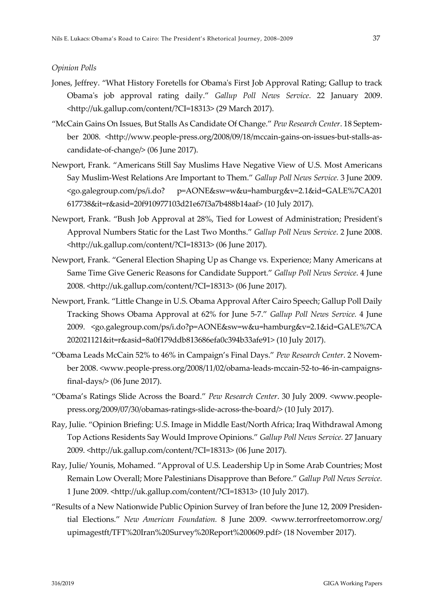#### *Opinion Polls*

- Jones, Jeffrey. "What History Foretells for Obama's First Job Approval Rating; Gallup to track Obama's job approval rating daily." *Gallup Poll News Service*. 22 January 2009. <http://uk.gallup.com/content/?CI=18313> (29 March 2017).
- "McCain Gains On Issues, But Stalls As Candidate Of Change." *Pew Research Center*. 18 September 2008. <http://www.people-press.org/2008/09/18/mccain-gains-on-issues-but-stalls-ascandidate-of-change/> (06 June 2017).
- Newport, Frank. "Americans Still Say Muslims Have Negative View of U.S. Most Americans Say Muslim-West Relations Are Important to Them." *Gallup Poll News Service.* 3 June 2009. <go.galegroup.com/ps/i.do? p=AONE&sw=w&u=hamburg&v=2.1&id=GALE%7CA201 617738&it=r&asid=20f910977103d21e67f3a7b488b14aaf> (10 July 2017).
- Newport, Frank. "Bush Job Approval at 28%, Tied for Lowest of Administration; President's Approval Numbers Static for the Last Two Months." *Gallup Poll News Service*. 2 June 2008. <http://uk.gallup.com/content/?CI=18313> (06 June 2017).
- Newport, Frank. "General Election Shaping Up as Change vs. Experience; Many Americans at Same Time Give Generic Reasons for Candidate Support." *Gallup Poll News Service*. 4 June 2008. <http://uk.gallup.com/content/?CI=18313> (06 June 2017).
- Newport, Frank. "Little Change in U.S. Obama Approval After Cairo Speech; Gallup Poll Daily Tracking Shows Obama Approval at 62% for June 5-7." *Gallup Poll News Service.* 4 June 2009. <go.galegroup.com/ps/i.do?p=AONE&sw=w&u=hamburg&v=2.1&id=GALE%7CA 202021121&it=r&asid=8a0f179ddb813686efa0c394b33afe91> (10 July 2017).
- "Obama Leads McCain 52% to 46% in Campaign's Final Days." *Pew Research Center*. 2 November 2008. <www.people-press.org/2008/11/02/obama-leads-mccain-52-to-46-in-campaignsfinal-days/> (06 June 2017).
- "Obama's Ratings Slide Across the Board." *Pew Research Center*. 30 July 2009. <www.peoplepress.org/2009/07/30/obamas-ratings-slide-across-the-board/> (10 July 2017).
- Ray, Julie. "Opinion Briefing: U.S. Image in Middle East/North Africa; Iraq Withdrawal Among Top Actions Residents Say Would Improve Opinions." *Gallup Poll News Service.* 27 January 2009. <http://uk.gallup.com/content/?CI=18313> (06 June 2017).
- Ray, Julie/ Younis, Mohamed. "Approval of U.S. Leadership Up in Some Arab Countries; Most Remain Low Overall; More Palestinians Disapprove than Before." *Gallup Poll News Service.* 1 June 2009. <http://uk.gallup.com/content/?CI=18313> (10 July 2017).
- "Results of a New Nationwide Public Opinion Survey of Iran before the June 12, 2009 Presidential Elections." *New American Foundation.* 8 June 2009. <www.terrorfreetomorrow.org/ upimagestft/TFT%20Iran%20Survey%20Report%200609.pdf> (18 November 2017).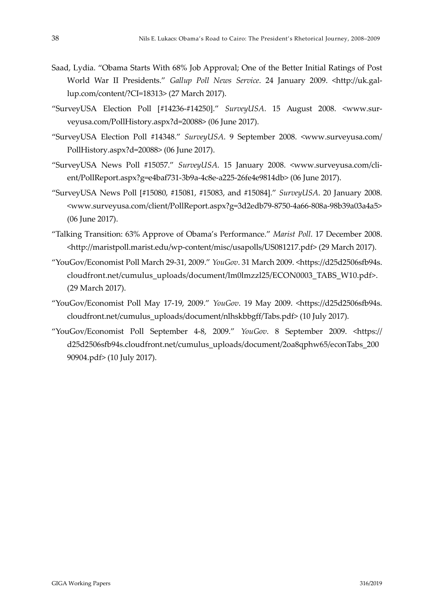- Saad, Lydia. "Obama Starts With 68% Job Approval; One of the Better Initial Ratings of Post World War II Presidents." *Gallup Poll News Service*. 24 January 2009. <http://uk.gallup.com/content/?CI=18313> (27 March 2017).
- "SurveyUSA Election Poll [#14236-#14250]." *SurveyUSA*. 15 August 2008. <www.surveyusa.com/PollHistory.aspx?d=20088> (06 June 2017).
- "SurveyUSA Election Poll #14348." *SurveyUSA*. 9 September 2008. <www.surveyusa.com/ PollHistory.aspx?d=20088> (06 June 2017).
- "SurveyUSA News Poll #15057." *SurveyUSA*. 15 January 2008. <www.surveyusa.com/client/PollReport.aspx?g=e4baf731-3b9a-4c8e-a225-26fe4e9814db> (06 June 2017).
- "SurveyUSA News Poll [#15080, #15081, #15083, and #15084]." *SurveyUSA*. 20 January 2008. <www.surveyusa.com/client/PollReport.aspx?g=3d2edb79-8750-4a66-808a-98b39a03a4a5> (06 June 2017).
- "Talking Transition: 63% Approve of Obama's Performance." *Marist Poll*. 17 December 2008. <http://maristpoll.marist.edu/wp-content/misc/usapolls/US081217.pdf> (29 March 2017).
- "YouGov/Economist Poll March 29-31, 2009." *YouGov*. 31 March 2009. <https://d25d2506sfb94s. cloudfront.net/cumulus\_uploads/document/lm0lmzzl25/ECON0003\_TABS\_W10.pdf>. (29 March 2017).
- "YouGov/Economist Poll May 17-19, 2009." *YouGov*. 19 May 2009. <https://d25d2506sfb94s. cloudfront.net/cumulus\_uploads/document/nlhskbbgff/Tabs.pdf> (10 July 2017).
- "YouGov/Economist Poll September 4-8, 2009." *YouGov*. 8 September 2009. <https:// d25d2506sfb94s.cloudfront.net/cumulus\_uploads/document/2oa8qphw65/econTabs\_200 90904.pdf> (10 July 2017).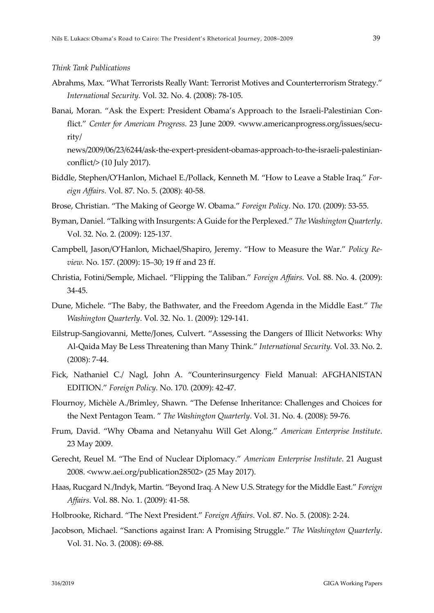#### *Think Tank Publications*

- Abrahms, Max. "What Terrorists Really Want: Terrorist Motives and Counterterrorism Strategy." *International Security.* Vol. 32. No. 4. (2008): 78-105.
- Banai, Moran. "Ask the Expert: President Obama's Approach to the Israeli-Palestinian Conflict." *Center for American Progress*. 23 June 2009. <www.americanprogress.org/issues/security/

news/2009/06/23/6244/ask-the-expert-president-obamas-approach-to-the-israeli-palestinianconflict/> (10 July 2017).

- Biddle, Stephen/O'Hanlon, Michael E./Pollack, Kenneth M. "How to Leave a Stable Iraq." *Foreign Affairs.* Vol. 87. No. 5. (2008): 40-58.
- Brose, Christian. "The Making of George W. Obama." *Foreign Policy*. No. 170. (2009): 53-55.
- Byman, Daniel. "Talking with Insurgents: A Guide for the Perplexed." *The Washington Quarterly*. Vol. 32. No. 2. (2009): 125-137.
- Campbell, Jason/O'Hanlon, Michael/Shapiro, Jeremy. "How to Measure the War." *Policy Review.* No. 157. (2009): 15–30; 19 ff and 23 ff.
- Christia, Fotini/Semple, Michael. "Flipping the Taliban." *Foreign Affairs.* Vol. 88. No. 4. (2009): 34-45.
- Dune, Michele. "The Baby, the Bathwater, and the Freedom Agenda in the Middle East." *The Washington Quarterly*. Vol. 32. No. 1. (2009): 129-141.
- Eilstrup-Sangiovanni, Mette/Jones, Culvert. "Assessing the Dangers of Illicit Networks: Why Al-Qaida May Be Less Threatening than Many Think." *International Security.* Vol. 33. No. 2. (2008): 7-44.
- Fick, Nathaniel C./ Nagl, John A. "Counterinsurgency Field Manual: AFGHANISTAN EDITION." *Foreign Policy*. No. 170. (2009): 42-47.
- Flournoy, Michèle A./Brimley, Shawn. "The Defense Inheritance: Challenges and Choices for the Next Pentagon Team. " *The Washington Quarterly*. Vol. 31. No. 4. (2008): 59-76.
- Frum, David. "Why Obama and Netanyahu Will Get Along." *American Enterprise Institute*. 23 May 2009.
- Gerecht, Reuel M. "The End of Nuclear Diplomacy." *American Enterprise Institute*. 21 August 2008. <www.aei.org/publication28502> (25 May 2017).
- Haas, Rucgard N./Indyk, Martin. "Beyond Iraq. A New U.S. Strategy for the Middle East." *Foreign Affairs*. Vol. 88. No. 1. (2009): 41-58.
- Holbrooke, Richard. "The Next President." *Foreign Affairs*. Vol. 87. No. 5. (2008): 2-24.
- Jacobson, Michael. "Sanctions against Iran: A Promising Struggle." *The Washington Quarterly*. Vol. 31. No. 3. (2008): 69-88.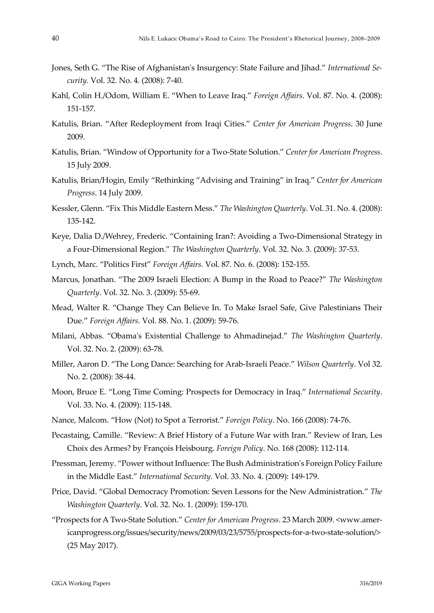- Jones, Seth G. "The Rise of Afghanistan's Insurgency: State Failure and Jihad." *International Security.* Vol. 32. No. 4. (2008): 7-40.
- Kahl, Colin H./Odom, William E. "When to Leave Iraq." *Foreign Affairs.* Vol. 87. No. 4. (2008): 151-157.
- Katulis, Brian. "After Redeployment from Iraqi Cities." *Center for American Progress*. 30 June 2009.
- Katulis, Brian. "Window of Opportunity for a Two-State Solution." *Center for American Progress*. 15 July 2009.
- Katulis, Brian/Hogin, Emily "Rethinking "Advising and Training" in Iraq." *Center for American Progress*. 14 July 2009.
- Kessler, Glenn. "Fix This Middle Eastern Mess." *The Washington Quarterly*. Vol. 31. No. 4. (2008): 135-142.
- Keye, Dalia D./Wehrey, Frederic. "Containing Iran?: Avoiding a Two-Dimensional Strategy in a Four-Dimensional Region." *The Washington Quarterly*. Vol. 32. No. 3. (2009): 37-53.
- Lynch, Marc. "Politics First" *Foreign Affairs.* Vol. 87. No. 6. (2008): 152-155.
- Marcus, Jonathan. "The 2009 Israeli Election: A Bump in the Road to Peace?" *The Washington Quarterly*. Vol. 32. No. 3. (2009): 55-69.
- Mead, Walter R. "Change They Can Believe In. To Make Israel Safe, Give Palestinians Their Due." *Foreign Affairs.* Vol. 88. No. 1. (2009): 59-76.
- Milani, Abbas. "Obama's Existential Challenge to Ahmadinejad." *The Washington Quarterly*. Vol. 32. No. 2. (2009): 63-78.
- Miller, Aaron D. "The Long Dance: Searching for Arab-Israeli Peace." *Wilson Quarterly*. Vol 32. No. 2. (2008): 38-44.
- Moon, Bruce E. "Long Time Coming: Prospects for Democracy in Iraq." *International Security*. Vol. 33. No. 4. (2009): 115-148.
- Nance, Malcom. "How (Not) to Spot a Terrorist." *Foreign Policy*. No. 166 (2008): 74-76.
- Pecastaing, Camille. "Review: A Brief History of a Future War with Iran." Review of Iran, Les Choix des Armes? by François Heisbourg. *Foreign Policy*. No. 168 (2008): 112-114.
- Pressman, Jeremy. "Power without Influence: The Bush Administration's Foreign Policy Failure in the Middle East." *International Security*. Vol. 33. No. 4. (2009): 149-179.
- Price, David. "Global Democracy Promotion: Seven Lessons for the New Administration." *The Washington Quarterly*. Vol. 32. No. 1. (2009): 159-170.
- "Prospects for A Two-State Solution." *Center for American Progress*. 23 March 2009. <www.americanprogress.org/issues/security/news/2009/03/23/5755/prospects-for-a-two-state-solution/> (25 May 2017).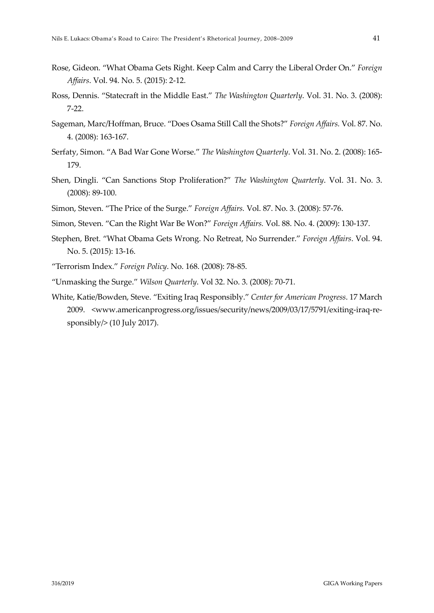- Rose, Gideon. "What Obama Gets Right. Keep Calm and Carry the Liberal Order On." *Foreign Affairs*. Vol. 94. No. 5. (2015): 2-12.
- Ross, Dennis. "Statecraft in the Middle East." *The Washington Quarterly*. Vol. 31. No. 3. (2008): 7-22.
- Sageman, Marc/Hoffman, Bruce. "Does Osama Still Call the Shots?" *Foreign Affairs.* Vol. 87. No. 4. (2008): 163-167.
- Serfaty, Simon. "A Bad War Gone Worse." *The Washington Quarterly*. Vol. 31. No. 2. (2008): 165- 179.
- Shen, Dingli. "Can Sanctions Stop Proliferation?" *The Washington Quarterly*. Vol. 31. No. 3. (2008): 89-100.
- Simon, Steven. "The Price of the Surge." *Foreign Affairs.* Vol. 87. No. 3. (2008): 57-76.
- Simon, Steven. "Can the Right War Be Won?" *Foreign Affairs.* Vol. 88. No. 4. (2009): 130-137.
- Stephen, Bret. "What Obama Gets Wrong. No Retreat, No Surrender." *Foreign Affairs*. Vol. 94. No. 5. (2015): 13-16.
- "Terrorism Index." *Foreign Policy*. No. 168. (2008): 78-85.
- "Unmasking the Surge." *Wilson Quarterly*. Vol 32. No. 3. (2008): 70-71.
- White, Katie/Bowden, Steve. "Exiting Iraq Responsibly." *Center for American Progress*. 17 March 2009. <www.americanprogress.org/issues/security/news/2009/03/17/5791/exiting-iraq-responsibly $/$ > (10 July 2017).